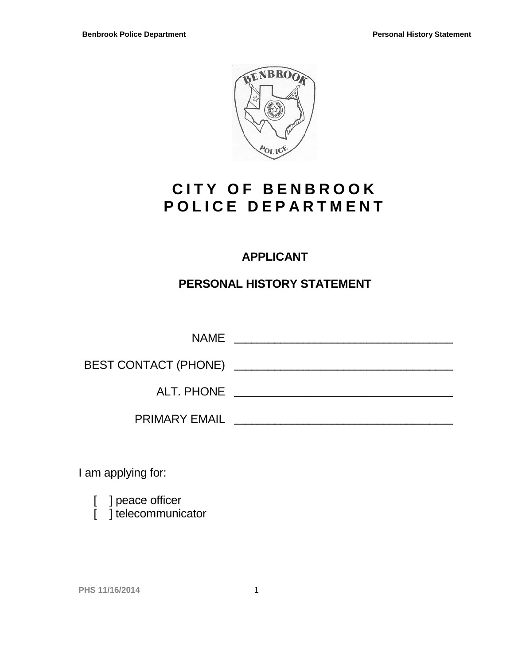

# **CITY OF BENBROOK POLICE DEPARTMENT**

# **APPLICANT**

# **PERSONAL HISTORY STATEMENT**

|                                                     | <b>NAME</b>          |
|-----------------------------------------------------|----------------------|
| BEST CONTACT (PHONE) ______________________________ |                      |
|                                                     | ALT. PHONE           |
|                                                     | <b>PRIMARY EMAIL</b> |

I am applying for:

[ ] peace officer

[ ] telecommunicator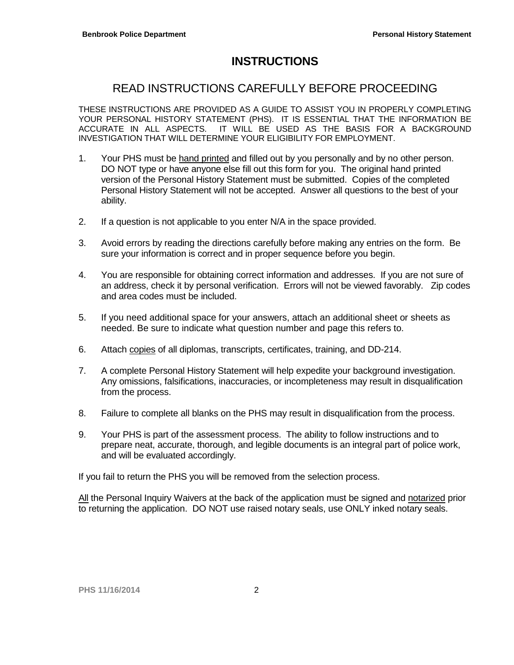# **INSTRUCTIONS**

# READ INSTRUCTIONS CAREFULLY BEFORE PROCEEDING

THESE INSTRUCTIONS ARE PROVIDED AS A GUIDE TO ASSIST YOU IN PROPERLY COMPLETING YOUR PERSONAL HISTORY STATEMENT (PHS). IT IS ESSENTIAL THAT THE INFORMATION BE ACCURATE IN ALL ASPECTS. IT WILL BE USED AS THE BASIS FOR A BACKGROUND INVESTIGATION THAT WILL DETERMINE YOUR ELIGIBILITY FOR EMPLOYMENT.

- 1. Your PHS must be hand printed and filled out by you personally and by no other person. DO NOT type or have anyone else fill out this form for you. The original hand printed version of the Personal History Statement must be submitted. Copies of the completed Personal History Statement will not be accepted. Answer all questions to the best of your ability.
- 2. If a question is not applicable to you enter N/A in the space provided.
- 3. Avoid errors by reading the directions carefully before making any entries on the form. Be sure your information is correct and in proper sequence before you begin.
- 4. You are responsible for obtaining correct information and addresses. If you are not sure of an address, check it by personal verification. Errors will not be viewed favorably. Zip codes and area codes must be included.
- 5. If you need additional space for your answers, attach an additional sheet or sheets as needed. Be sure to indicate what question number and page this refers to.
- 6. Attach copies of all diplomas, transcripts, certificates, training, and DD-214.
- 7. A complete Personal History Statement will help expedite your background investigation. Any omissions, falsifications, inaccuracies, or incompleteness may result in disqualification from the process.
- 8. Failure to complete all blanks on the PHS may result in disqualification from the process.
- 9. Your PHS is part of the assessment process. The ability to follow instructions and to prepare neat, accurate, thorough, and legible documents is an integral part of police work, and will be evaluated accordingly.

If you fail to return the PHS you will be removed from the selection process.

All the Personal Inquiry Waivers at the back of the application must be signed and notarized prior to returning the application. DO NOT use raised notary seals, use ONLY inked notary seals.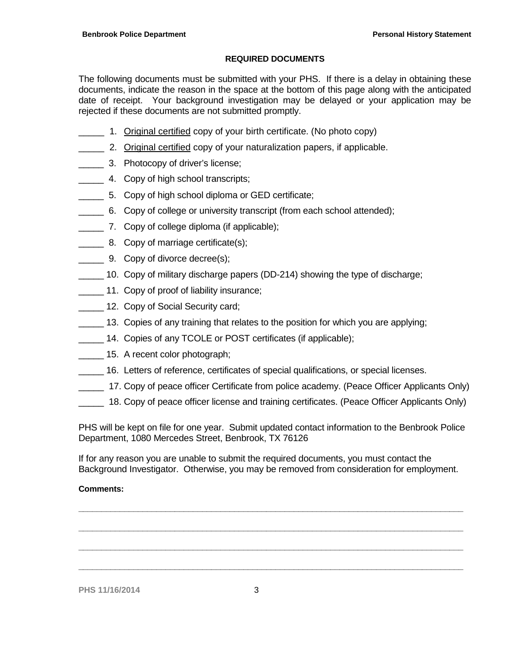### **REQUIRED DOCUMENTS**

The following documents must be submitted with your PHS. If there is a delay in obtaining these documents, indicate the reason in the space at the bottom of this page along with the anticipated date of receipt. Your background investigation may be delayed or your application may be rejected if these documents are not submitted promptly.

- \_\_\_\_\_ 1. Original certified copy of your birth certificate. (No photo copy)
- **2. Original certified copy of your naturalization papers, if applicable.**
- **2008** 3. Photocopy of driver's license;
- \_\_\_\_\_ 4. Copy of high school transcripts;
- 5. Copy of high school diploma or GED certificate;
- \_\_\_\_\_ 6. Copy of college or university transcript (from each school attended);
- \_\_\_\_\_ 7. Copy of college diploma (if applicable);
- **EXECUTE:** 8. Copy of marriage certificate(s);
- **EXECUTE:** 9. Copy of divorce decree(s);
- \_\_\_\_\_ 10. Copy of military discharge papers (DD-214) showing the type of discharge;
- \_\_\_\_\_ 11. Copy of proof of liability insurance;
- **12. Copy of Social Security card;**
- \_\_\_\_\_ 13. Copies of any training that relates to the position for which you are applying;
- 14. Copies of any TCOLE or POST certificates (if applicable);
- 15. A recent color photograph;
- \_\_\_\_\_ 16. Letters of reference, certificates of special qualifications, or special licenses.
- 17. Copy of peace officer Certificate from police academy. (Peace Officer Applicants Only)
- \_\_\_\_\_ 18. Copy of peace officer license and training certificates. (Peace Officer Applicants Only)

PHS will be kept on file for one year. Submit updated contact information to the Benbrook Police Department, 1080 Mercedes Street, Benbrook, TX 76126

If for any reason you are unable to submit the required documents, you must contact the Background Investigator. Otherwise, you may be removed from consideration for employment.

**\_\_\_\_\_\_\_\_\_\_\_\_\_\_\_\_\_\_\_\_\_\_\_\_\_\_\_\_\_\_\_\_\_\_\_\_\_\_\_\_\_\_\_\_\_\_\_\_\_\_\_\_\_\_\_\_\_\_\_\_\_\_\_\_\_\_\_\_\_\_\_\_\_\_\_\_\_\_\_\_\_\_\_\_**

**\_\_\_\_\_\_\_\_\_\_\_\_\_\_\_\_\_\_\_\_\_\_\_\_\_\_\_\_\_\_\_\_\_\_\_\_\_\_\_\_\_\_\_\_\_\_\_\_\_\_\_\_\_\_\_\_\_\_\_\_\_\_\_\_\_\_\_\_\_\_\_\_\_\_\_\_\_\_\_\_\_\_\_\_**

**\_\_\_\_\_\_\_\_\_\_\_\_\_\_\_\_\_\_\_\_\_\_\_\_\_\_\_\_\_\_\_\_\_\_\_\_\_\_\_\_\_\_\_\_\_\_\_\_\_\_\_\_\_\_\_\_\_\_\_\_\_\_\_\_\_\_\_\_\_\_\_\_\_\_\_\_\_\_\_\_\_\_\_\_**

**\_\_\_\_\_\_\_\_\_\_\_\_\_\_\_\_\_\_\_\_\_\_\_\_\_\_\_\_\_\_\_\_\_\_\_\_\_\_\_\_\_\_\_\_\_\_\_\_\_\_\_\_\_\_\_\_\_\_\_\_\_\_\_\_\_\_\_\_\_\_\_\_\_\_\_\_\_\_\_\_\_\_\_\_**

### **Comments:**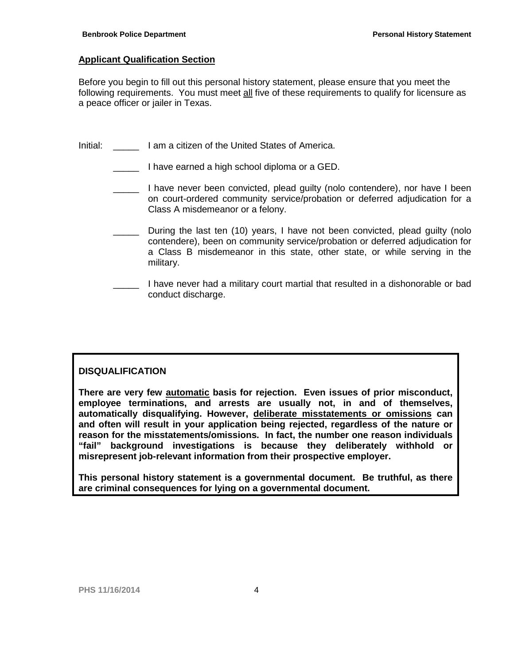## **Applicant Qualification Section**

Before you begin to fill out this personal history statement, please ensure that you meet the following requirements. You must meet all five of these requirements to qualify for licensure as a peace officer or jailer in Texas.

Initial: **I am a citizen of the United States of America.** 

- I have earned a high school diploma or a GED.
- \_\_\_\_\_ I have never been convicted, plead guilty (nolo contendere), nor have I been on court-ordered community service/probation or deferred adjudication for a Class A misdemeanor or a felony.
- During the last ten (10) years, I have not been convicted, plead guilty (nolo contendere), been on community service/probation or deferred adjudication for a Class B misdemeanor in this state, other state, or while serving in the military.
- I have never had a military court martial that resulted in a dishonorable or bad conduct discharge.

# **DISQUALIFICATION**

**There are very few automatic basis for rejection. Even issues of prior misconduct, employee terminations, and arrests are usually not, in and of themselves, automatically disqualifying. However, deliberate misstatements or omissions can and often will result in your application being rejected, regardless of the nature or reason for the misstatements/omissions. In fact, the number one reason individuals "fail" background investigations is because they deliberately withhold or misrepresent job-relevant information from their prospective employer.**

**This personal history statement is a governmental document. Be truthful, as there are criminal consequences for lying on a governmental document.**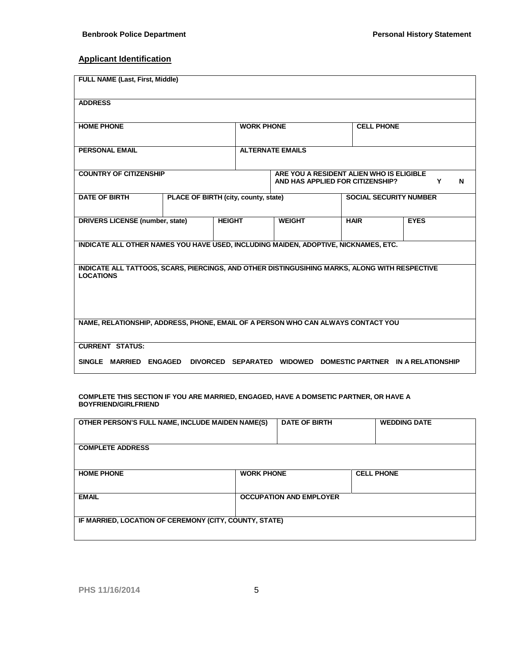# **Applicant Identification**

| <b>FULL NAME (Last, First, Middle)</b>                                                                            |                |                                                                       |                         |                                                                              |                                    |
|-------------------------------------------------------------------------------------------------------------------|----------------|-----------------------------------------------------------------------|-------------------------|------------------------------------------------------------------------------|------------------------------------|
| <b>ADDRESS</b>                                                                                                    |                |                                                                       |                         |                                                                              |                                    |
| <b>HOME PHONE</b>                                                                                                 |                | <b>WORK PHONE</b>                                                     |                         | <b>CELL PHONE</b>                                                            |                                    |
| <b>PERSONAL EMAIL</b>                                                                                             |                |                                                                       | <b>ALTERNATE EMAILS</b> |                                                                              |                                    |
| <b>COUNTRY OF CITIZENSHIP</b>                                                                                     |                |                                                                       |                         | ARE YOU A RESIDENT ALIEN WHO IS ELIGIBLE<br>AND HAS APPLIED FOR CITIZENSHIP? | Y<br>N                             |
| <b>DATE OF BIRTH</b>                                                                                              |                | PLACE OF BIRTH (city, county, state)<br><b>SOCIAL SECURITY NUMBER</b> |                         |                                                                              |                                    |
| <b>DRIVERS LICENSE (number, state)</b>                                                                            |                | <b>HEIGHT</b>                                                         | <b>WEIGHT</b>           | <b>HAIR</b>                                                                  | <b>EYES</b>                        |
| INDICATE ALL OTHER NAMES YOU HAVE USED, INCLUDING MAIDEN, ADOPTIVE, NICKNAMES, ETC.                               |                |                                                                       |                         |                                                                              |                                    |
| INDICATE ALL TATTOOS, SCARS, PIERCINGS, AND OTHER DISTINGUSIHING MARKS, ALONG WITH RESPECTIVE<br><b>LOCATIONS</b> |                |                                                                       |                         |                                                                              |                                    |
| NAME, RELATIONSHIP, ADDRESS, PHONE, EMAIL OF A PERSON WHO CAN ALWAYS CONTACT YOU                                  |                |                                                                       |                         |                                                                              |                                    |
| <b>CURRENT STATUS:</b><br>SINGLE MARRIED                                                                          | <b>ENGAGED</b> | DIVORCED SEPARATED WIDOWED                                            |                         |                                                                              | DOMESTIC PARTNER IN A RELATIONSHIP |

**COMPLETE THIS SECTION IF YOU ARE MARRIED, ENGAGED, HAVE A DOMSETIC PARTNER, OR HAVE A BOYFRIEND/GIRLFRIEND**

| OTHER PERSON'S FULL NAME, INCLUDE MAIDEN NAME(S)       |                   | <b>DATE OF BIRTH</b>           | <b>WEDDING DATE</b> |
|--------------------------------------------------------|-------------------|--------------------------------|---------------------|
| <b>COMPLETE ADDRESS</b>                                |                   |                                |                     |
| <b>HOME PHONE</b>                                      | <b>WORK PHONE</b> |                                | <b>CELL PHONE</b>   |
| <b>EMAIL</b>                                           |                   | <b>OCCUPATION AND EMPLOYER</b> |                     |
| IF MARRIED, LOCATION OF CEREMONY (CITY, COUNTY, STATE) |                   |                                |                     |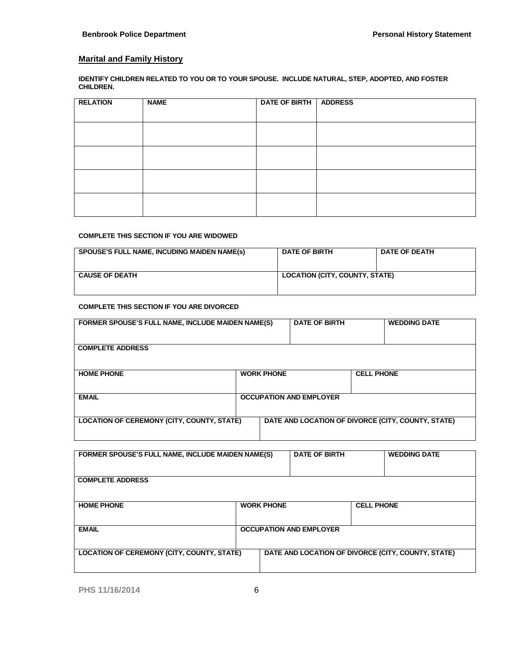## **Marital and Family History**

**IDENTIFY CHILDREN RELATED TO YOU OR TO YOUR SPOUSE. INCLUDE NATURAL, STEP, ADOPTED, AND FOSTER CHILDREN.**

| <b>RELATION</b> | <b>NAME</b> | DATE OF BIRTH   ADDRESS |  |
|-----------------|-------------|-------------------------|--|
|                 |             |                         |  |
|                 |             |                         |  |
|                 |             |                         |  |
|                 |             |                         |  |
|                 |             |                         |  |
|                 |             |                         |  |
|                 |             |                         |  |
|                 |             |                         |  |
|                 |             |                         |  |

#### **COMPLETE THIS SECTION IF YOU ARE WIDOWED**

| <b>SPOUSE'S FULL NAME, INCUDING MAIDEN NAME(s)</b> | <b>DATE OF BIRTH</b>                  | <b>DATE OF DEATH</b> |
|----------------------------------------------------|---------------------------------------|----------------------|
| <b>CAUSE OF DEATH</b>                              | <b>LOCATION (CITY, COUNTY, STATE)</b> |                      |

#### **COMPLETE THIS SECTION IF YOU ARE DIVORCED**

| FORMER SPOUSE'S FULL NAME, INCLUDE MAIDEN NAME(S) |                                | <b>DATE OF BIRTH</b> |                   | <b>WEDDING DATE</b>                                |
|---------------------------------------------------|--------------------------------|----------------------|-------------------|----------------------------------------------------|
|                                                   |                                |                      |                   |                                                    |
| <b>COMPLETE ADDRESS</b>                           |                                |                      |                   |                                                    |
|                                                   |                                |                      |                   |                                                    |
| <b>HOME PHONE</b>                                 | <b>WORK PHONE</b>              |                      | <b>CELL PHONE</b> |                                                    |
|                                                   |                                |                      |                   |                                                    |
| <b>EMAIL</b>                                      | <b>OCCUPATION AND EMPLOYER</b> |                      |                   |                                                    |
|                                                   |                                |                      |                   |                                                    |
| <b>LOCATION OF CEREMONY (CITY, COUNTY, STATE)</b> |                                |                      |                   | DATE AND LOCATION OF DIVORCE (CITY, COUNTY, STATE) |
|                                                   |                                |                      |                   |                                                    |

| FORMER SPOUSE'S FULL NAME, INCLUDE MAIDEN NAME(S) |                   | <b>DATE OF BIRTH</b>           |                   | <b>WEDDING DATE</b>                                |
|---------------------------------------------------|-------------------|--------------------------------|-------------------|----------------------------------------------------|
| <b>COMPLETE ADDRESS</b>                           |                   |                                |                   |                                                    |
| <b>HOME PHONE</b>                                 | <b>WORK PHONE</b> |                                | <b>CELL PHONE</b> |                                                    |
| <b>EMAIL</b>                                      |                   | <b>OCCUPATION AND EMPLOYER</b> |                   |                                                    |
| <b>LOCATION OF CEREMONY (CITY, COUNTY, STATE)</b> |                   |                                |                   | DATE AND LOCATION OF DIVORCE (CITY, COUNTY, STATE) |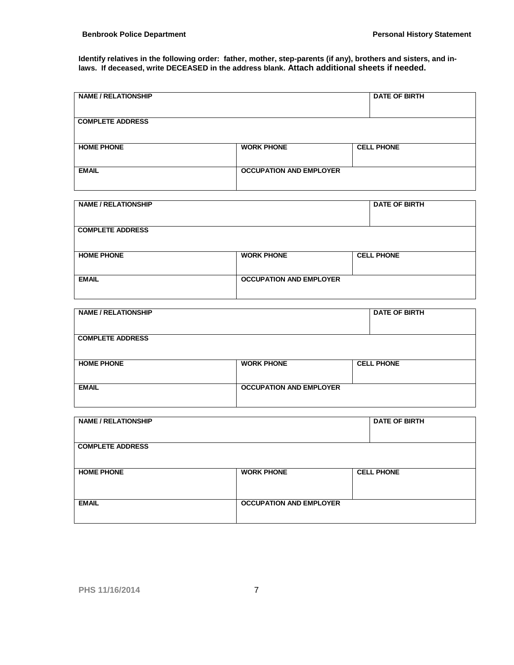**Identify relatives in the following order: father, mother, step-parents (if any), brothers and sisters, and inlaws. If deceased, write DECEASED in the address blank. Attach additional sheets if needed.**

| <b>NAME / RELATIONSHIP</b> |                                | <b>DATE OF BIRTH</b> |
|----------------------------|--------------------------------|----------------------|
| <b>COMPLETE ADDRESS</b>    |                                |                      |
| <b>HOME PHONE</b>          | <b>WORK PHONE</b>              | <b>CELL PHONE</b>    |
| <b>EMAIL</b>               | <b>OCCUPATION AND EMPLOYER</b> |                      |

| <b>NAME / RELATIONSHIP</b> |                                | <b>DATE OF BIRTH</b> |
|----------------------------|--------------------------------|----------------------|
| <b>COMPLETE ADDRESS</b>    |                                |                      |
| <b>HOME PHONE</b>          | <b>WORK PHONE</b>              | <b>CELL PHONE</b>    |
| <b>EMAIL</b>               | <b>OCCUPATION AND EMPLOYER</b> |                      |

| <b>NAME / RELATIONSHIP</b> |                                | <b>DATE OF BIRTH</b> |
|----------------------------|--------------------------------|----------------------|
| <b>COMPLETE ADDRESS</b>    |                                |                      |
| <b>HOME PHONE</b>          | <b>WORK PHONE</b>              | <b>CELL PHONE</b>    |
| <b>EMAIL</b>               | <b>OCCUPATION AND EMPLOYER</b> |                      |

| <b>NAME / RELATIONSHIP</b> |                                | <b>DATE OF BIRTH</b> |  |
|----------------------------|--------------------------------|----------------------|--|
| <b>COMPLETE ADDRESS</b>    |                                |                      |  |
| <b>HOME PHONE</b>          | <b>WORK PHONE</b>              | <b>CELL PHONE</b>    |  |
| <b>EMAIL</b>               | <b>OCCUPATION AND EMPLOYER</b> |                      |  |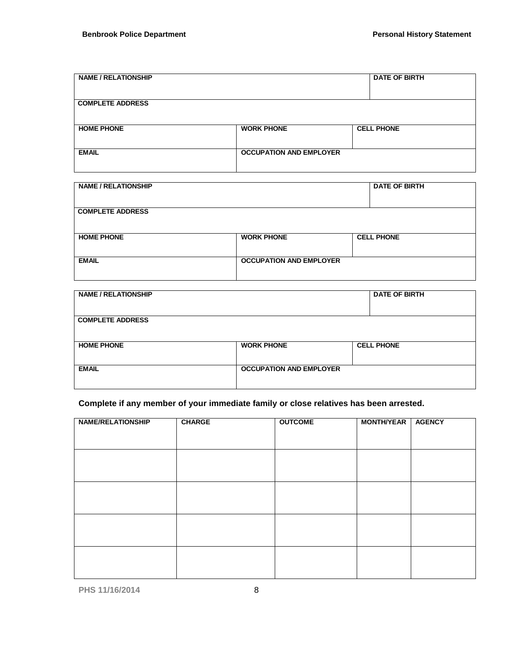| <b>NAME / RELATIONSHIP</b> |                                | <b>DATE OF BIRTH</b> |
|----------------------------|--------------------------------|----------------------|
| <b>COMPLETE ADDRESS</b>    |                                |                      |
| <b>HOME PHONE</b>          | <b>WORK PHONE</b>              | <b>CELL PHONE</b>    |
| <b>EMAIL</b>               | <b>OCCUPATION AND EMPLOYER</b> |                      |
|                            |                                |                      |

| <b>NAME / RELATIONSHIP</b> |                                | <b>DATE OF BIRTH</b> |
|----------------------------|--------------------------------|----------------------|
| <b>COMPLETE ADDRESS</b>    |                                |                      |
| <b>HOME PHONE</b>          | <b>WORK PHONE</b>              | <b>CELL PHONE</b>    |
| <b>EMAIL</b>               | <b>OCCUPATION AND EMPLOYER</b> |                      |

| <b>NAME / RELATIONSHIP</b> |                                | <b>DATE OF BIRTH</b> |
|----------------------------|--------------------------------|----------------------|
| <b>COMPLETE ADDRESS</b>    |                                |                      |
| <b>HOME PHONE</b>          | <b>WORK PHONE</b>              | <b>CELL PHONE</b>    |
| <b>EMAIL</b>               | <b>OCCUPATION AND EMPLOYER</b> |                      |

# **Complete if any member of your immediate family or close relatives has been arrested.**

| <b>NAME/RELATIONSHIP</b> | <b>CHARGE</b> | <b>OUTCOME</b> | <b>MONTH/YEAR</b> | <b>AGENCY</b> |
|--------------------------|---------------|----------------|-------------------|---------------|
|                          |               |                |                   |               |
|                          |               |                |                   |               |
|                          |               |                |                   |               |
|                          |               |                |                   |               |
|                          |               |                |                   |               |
|                          |               |                |                   |               |
|                          |               |                |                   |               |
|                          |               |                |                   |               |
|                          |               |                |                   |               |
|                          |               |                |                   |               |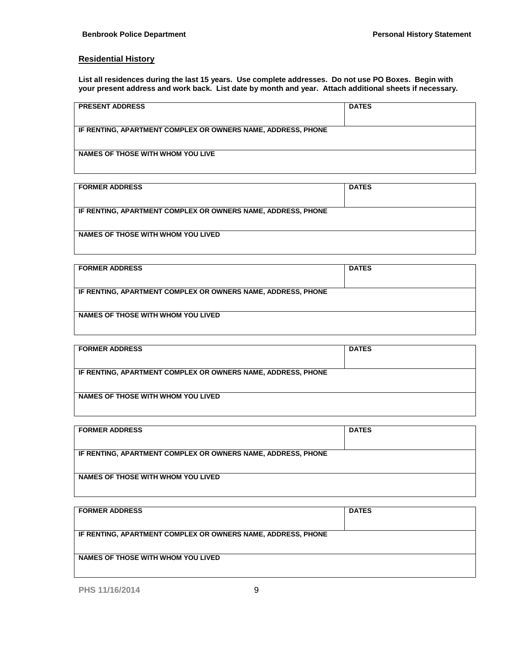#### **Residential History**

**List all residences during the last 15 years. Use complete addresses. Do not use PO Boxes. Begin with your present address and work back. List date by month and year. Attach additional sheets if necessary.**

| <b>PRESENT ADDRESS</b>                                       | <b>DATES</b> |
|--------------------------------------------------------------|--------------|
| IF RENTING, APARTMENT COMPLEX OR OWNERS NAME, ADDRESS, PHONE |              |
| NAMES OF THOSE WITH WHOM YOU LIVE                            |              |

| <b>FORMER ADDRESS</b>                                        | <b>DATES</b> |  |  |
|--------------------------------------------------------------|--------------|--|--|
|                                                              |              |  |  |
| IF RENTING, APARTMENT COMPLEX OR OWNERS NAME, ADDRESS, PHONE |              |  |  |
|                                                              |              |  |  |
| NAMES OF THOSE WITH WHOM YOU LIVED                           |              |  |  |
|                                                              |              |  |  |

| <b>FORMER ADDRESS</b>                                        | <b>DATES</b> |  |  |
|--------------------------------------------------------------|--------------|--|--|
|                                                              |              |  |  |
| IF RENTING, APARTMENT COMPLEX OR OWNERS NAME, ADDRESS, PHONE |              |  |  |
|                                                              |              |  |  |
| NAMES OF THOSE WITH WHOM YOU LIVED                           |              |  |  |
|                                                              |              |  |  |

| <b>FORMER ADDRESS</b>                                        | <b>DATES</b> |
|--------------------------------------------------------------|--------------|
|                                                              |              |
| IF RENTING, APARTMENT COMPLEX OR OWNERS NAME, ADDRESS, PHONE |              |
|                                                              |              |
| NAMES OF THOSE WITH WHOM YOU LIVED                           |              |
|                                                              |              |

| <b>FORMER ADDRESS</b>                                        | <b>DATES</b> |  |  |
|--------------------------------------------------------------|--------------|--|--|
|                                                              |              |  |  |
| IF RENTING, APARTMENT COMPLEX OR OWNERS NAME, ADDRESS, PHONE |              |  |  |
|                                                              |              |  |  |
| NAMES OF THOSE WITH WHOM YOU LIVED                           |              |  |  |
|                                                              |              |  |  |

| <b>FORMER ADDRESS</b>                                        | <b>DATES</b> |
|--------------------------------------------------------------|--------------|
|                                                              |              |
| IF RENTING, APARTMENT COMPLEX OR OWNERS NAME, ADDRESS, PHONE |              |
|                                                              |              |
| NAMES OF THOSE WITH WHOM YOU LIVED                           |              |
|                                                              |              |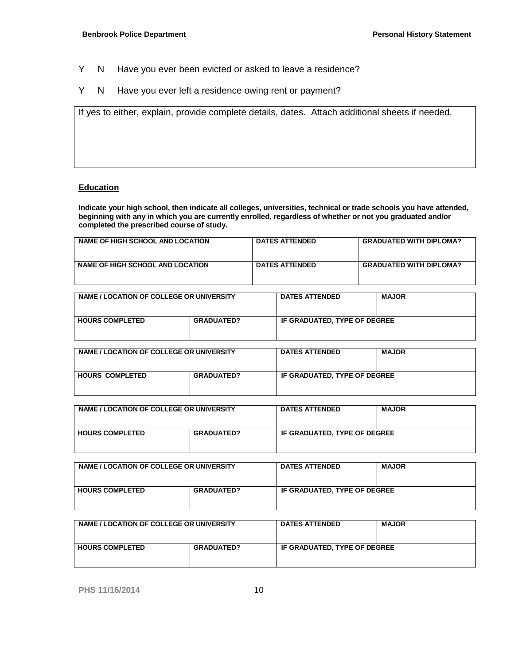- Y N Have you ever been evicted or asked to leave a residence?
- Y N Have you ever left a residence owing rent or payment?

If yes to either, explain, provide complete details, dates. Attach additional sheets if needed.

#### **Education**

**Indicate your high school, then indicate all colleges, universities, technical or trade schools you have attended, beginning with any in which you are currently enrolled, regardless of whether or not you graduated and/or completed the prescribed course of study.**

| NAME OF HIGH SCHOOL AND LOCATION | <b>DATES ATTENDED</b> | <b>GRADUATED WITH DIPLOMA?</b> |
|----------------------------------|-----------------------|--------------------------------|
| NAME OF HIGH SCHOOL AND LOCATION | <b>DATES ATTENDED</b> | <b>GRADUATED WITH DIPLOMA?</b> |

| NAME / LOCATION OF COLLEGE OR UNIVERSITY |                   | <b>DATES ATTENDED</b>        | <b>MAJOR</b> |
|------------------------------------------|-------------------|------------------------------|--------------|
| <b>HOURS COMPLETED</b>                   | <b>GRADUATED?</b> | IF GRADUATED. TYPE OF DEGREE |              |

| NAME / LOCATION OF COLLEGE OR UNIVERSITY |                   | <b>DATES ATTENDED</b>        | <b>MAJOR</b> |
|------------------------------------------|-------------------|------------------------------|--------------|
| <b>HOURS COMPLETED</b>                   | <b>GRADUATED?</b> | IF GRADUATED. TYPE OF DEGREE |              |

| NAME / LOCATION OF COLLEGE OR UNIVERSITY |                   | <b>DATES ATTENDED</b>        | <b>MAJOR</b> |
|------------------------------------------|-------------------|------------------------------|--------------|
| <b>HOURS COMPLETED</b>                   | <b>GRADUATED?</b> | IF GRADUATED. TYPE OF DEGREE |              |

| NAME / LOCATION OF COLLEGE OR UNIVERSITY |                   | <b>DATES ATTENDED</b>        | <b>MAJOR</b> |
|------------------------------------------|-------------------|------------------------------|--------------|
| <b>HOURS COMPLETED</b>                   | <b>GRADUATED?</b> | IF GRADUATED. TYPE OF DEGREE |              |

| NAME / LOCATION OF COLLEGE OR UNIVERSITY |                   | <b>DATES ATTENDED</b>        | <b>MAJOR</b> |
|------------------------------------------|-------------------|------------------------------|--------------|
| <b>HOURS COMPLETED</b>                   | <b>GRADUATED?</b> | IF GRADUATED, TYPE OF DEGREE |              |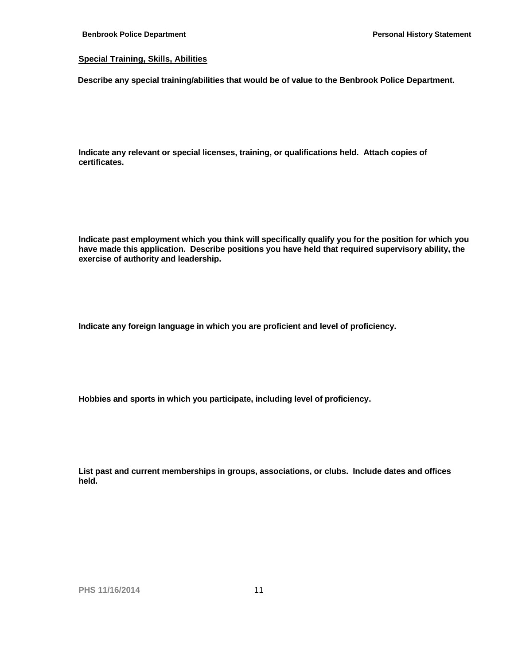#### **Special Training, Skills, Abilities**

**Describe any special training/abilities that would be of value to the Benbrook Police Department.** 

**Indicate any relevant or special licenses, training, or qualifications held. Attach copies of certificates.**

**Indicate past employment which you think will specifically qualify you for the position for which you have made this application. Describe positions you have held that required supervisory ability, the exercise of authority and leadership.**

**Indicate any foreign language in which you are proficient and level of proficiency.**

**Hobbies and sports in which you participate, including level of proficiency.**

**List past and current memberships in groups, associations, or clubs. Include dates and offices held.**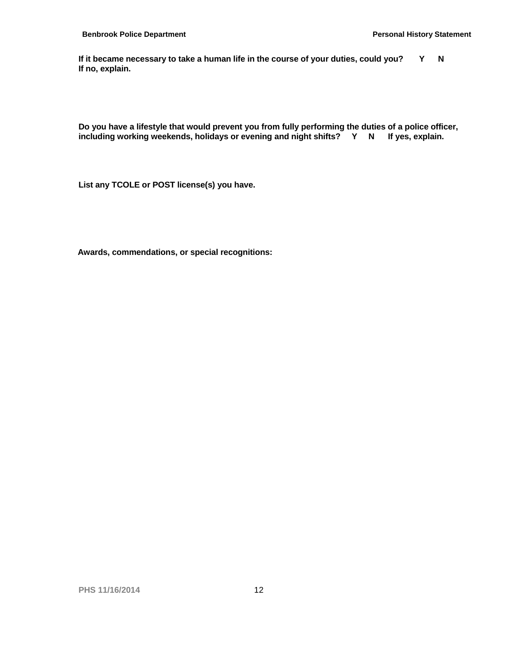If it became necessary to take a human life in the course of your duties, could you? Y N **If no, explain.** 

**Do you have a lifestyle that would prevent you from fully performing the duties of a police officer, including working weekends, holidays or evening and night shifts? Y N If yes, explain.** 

**List any TCOLE or POST license(s) you have.**

**Awards, commendations, or special recognitions:**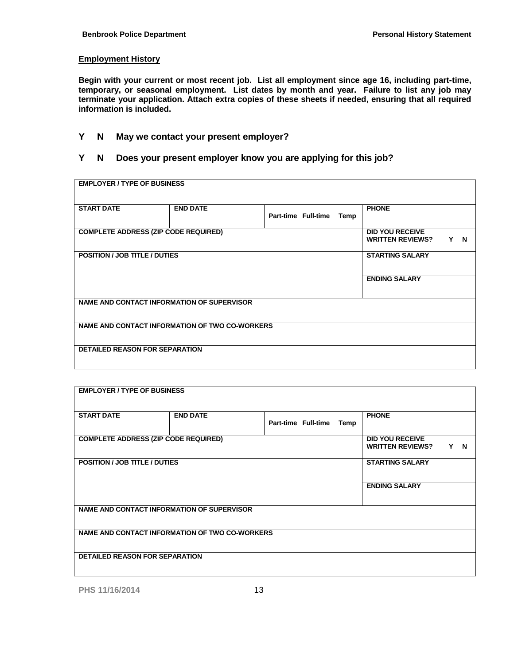#### **Employment History**

**Begin with your current or most recent job. List all employment since age 16, including part-time, temporary, or seasonal employment. List dates by month and year. Failure to list any job may terminate your application. Attach extra copies of these sheets if needed, ensuring that all required information is included.**

### **Y N May we contact your present employer?**

### **Y N Does your present employer know you are applying for this job?**

| <b>EMPLOYER / TYPE OF BUSINESS</b>          |                                                |                     |      |                                                   |     |
|---------------------------------------------|------------------------------------------------|---------------------|------|---------------------------------------------------|-----|
| <b>START DATE</b>                           | <b>END DATE</b>                                | Part-time Full-time | Temp | <b>PHONE</b>                                      |     |
| <b>COMPLETE ADDRESS (ZIP CODE REQUIRED)</b> |                                                |                     |      | <b>DID YOU RECEIVE</b><br><b>WRITTEN REVIEWS?</b> | Y N |
| <b>POSITION / JOB TITLE / DUTIES</b>        |                                                |                     |      | <b>STARTING SALARY</b>                            |     |
|                                             |                                                |                     |      | <b>ENDING SALARY</b>                              |     |
| NAME AND CONTACT INFORMATION OF SUPERVISOR  |                                                |                     |      |                                                   |     |
|                                             | NAME AND CONTACT INFORMATION OF TWO CO-WORKERS |                     |      |                                                   |     |
| <b>DETAILED REASON FOR SEPARATION</b>       |                                                |                     |      |                                                   |     |

| <b>EMPLOYER / TYPE OF BUSINESS</b>                |                                                |                     |      |                                                   |     |
|---------------------------------------------------|------------------------------------------------|---------------------|------|---------------------------------------------------|-----|
| <b>START DATE</b>                                 | <b>END DATE</b>                                | Part-time Full-time | Temp | <b>PHONE</b>                                      |     |
| <b>COMPLETE ADDRESS (ZIP CODE REQUIRED)</b>       |                                                |                     |      | <b>DID YOU RECEIVE</b><br><b>WRITTEN REVIEWS?</b> | Y N |
| <b>POSITION / JOB TITLE / DUTIES</b>              |                                                |                     |      | <b>STARTING SALARY</b>                            |     |
|                                                   |                                                |                     |      | <b>ENDING SALARY</b>                              |     |
| <b>NAME AND CONTACT INFORMATION OF SUPERVISOR</b> |                                                |                     |      |                                                   |     |
|                                                   | NAME AND CONTACT INFORMATION OF TWO CO-WORKERS |                     |      |                                                   |     |
| <b>DETAILED REASON FOR SEPARATION</b>             |                                                |                     |      |                                                   |     |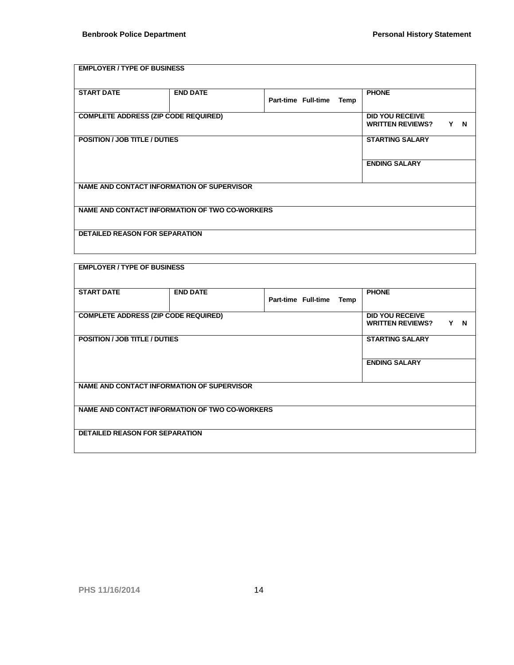# **EMPLOYER / TYPE OF BUSINESS START DATE END DATE Part-time Full-time Temp PHONE COMPLETE ADDRESS (ZIP CODE REQUIRED) DID YOU RECEIVE WRITTEN REVIEWS? Y N POSITION / JOB TITLE / DUTIES STARTING SALARY ENDING SALARY NAME AND CONTACT INFORMATION OF SUPERVISOR NAME AND CONTACT INFORMATION OF TWO CO-WORKERS DETAILED REASON FOR SEPARATION**

| <b>EMPLOYER / TYPE OF BUSINESS</b>          |                                                |                     |                                                   |      |                        |  |
|---------------------------------------------|------------------------------------------------|---------------------|---------------------------------------------------|------|------------------------|--|
| <b>START DATE</b>                           | <b>END DATE</b>                                | Part-time Full-time |                                                   | Temp | <b>PHONE</b>           |  |
| <b>COMPLETE ADDRESS (ZIP CODE REQUIRED)</b> |                                                |                     | <b>DID YOU RECEIVE</b><br><b>WRITTEN REVIEWS?</b> | Y N  |                        |  |
| <b>POSITION / JOB TITLE / DUTIES</b>        |                                                |                     |                                                   |      | <b>STARTING SALARY</b> |  |
|                                             |                                                |                     | <b>ENDING SALARY</b>                              |      |                        |  |
|                                             | NAME AND CONTACT INFORMATION OF SUPERVISOR     |                     |                                                   |      |                        |  |
|                                             | NAME AND CONTACT INFORMATION OF TWO CO-WORKERS |                     |                                                   |      |                        |  |
| <b>DETAILED REASON FOR SEPARATION</b>       |                                                |                     |                                                   |      |                        |  |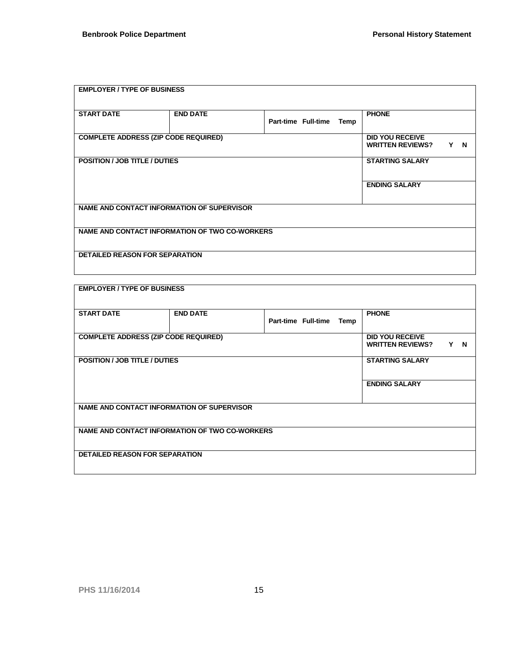| <b>EMPLOYER / TYPE OF BUSINESS</b>          |                                                   |                             |                                                   |     |  |
|---------------------------------------------|---------------------------------------------------|-----------------------------|---------------------------------------------------|-----|--|
| <b>START DATE</b>                           | <b>END DATE</b>                                   | Part-time Full-time<br>Temp | <b>PHONE</b>                                      |     |  |
| <b>COMPLETE ADDRESS (ZIP CODE REQUIRED)</b> |                                                   |                             | <b>DID YOU RECEIVE</b><br><b>WRITTEN REVIEWS?</b> | Y N |  |
| <b>POSITION / JOB TITLE / DUTIES</b>        |                                                   |                             | <b>STARTING SALARY</b>                            |     |  |
|                                             |                                                   |                             | <b>ENDING SALARY</b>                              |     |  |
|                                             | <b>NAME AND CONTACT INFORMATION OF SUPERVISOR</b> |                             |                                                   |     |  |
|                                             | NAME AND CONTACT INFORMATION OF TWO CO-WORKERS    |                             |                                                   |     |  |
| <b>DETAILED REASON FOR SEPARATION</b>       |                                                   |                             |                                                   |     |  |

| <b>EMPLOYER / TYPE OF BUSINESS</b>          |                                                |                             |                                                             |
|---------------------------------------------|------------------------------------------------|-----------------------------|-------------------------------------------------------------|
| <b>START DATE</b>                           | <b>END DATE</b>                                | Part-time Full-time<br>Temp | <b>PHONE</b>                                                |
| <b>COMPLETE ADDRESS (ZIP CODE REQUIRED)</b> |                                                |                             | <b>DID YOU RECEIVE</b><br><b>WRITTEN REVIEWS?</b><br>Y<br>N |
| <b>POSITION / JOB TITLE / DUTIES</b>        |                                                |                             | <b>STARTING SALARY</b>                                      |
|                                             |                                                |                             | <b>ENDING SALARY</b>                                        |
|                                             | NAME AND CONTACT INFORMATION OF SUPERVISOR     |                             |                                                             |
|                                             | NAME AND CONTACT INFORMATION OF TWO CO-WORKERS |                             |                                                             |
| <b>DETAILED REASON FOR SEPARATION</b>       |                                                |                             |                                                             |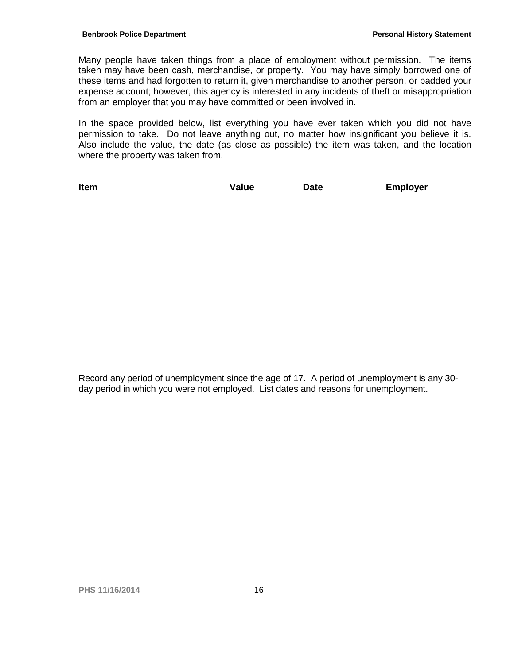Many people have taken things from a place of employment without permission. The items taken may have been cash, merchandise, or property. You may have simply borrowed one of these items and had forgotten to return it, given merchandise to another person, or padded your expense account; however, this agency is interested in any incidents of theft or misappropriation from an employer that you may have committed or been involved in.

In the space provided below, list everything you have ever taken which you did not have permission to take. Do not leave anything out, no matter how insignificant you believe it is. Also include the value, the date (as close as possible) the item was taken, and the location where the property was taken from.

**Item Value Date Employer**

Record any period of unemployment since the age of 17. A period of unemployment is any 30 day period in which you were not employed. List dates and reasons for unemployment.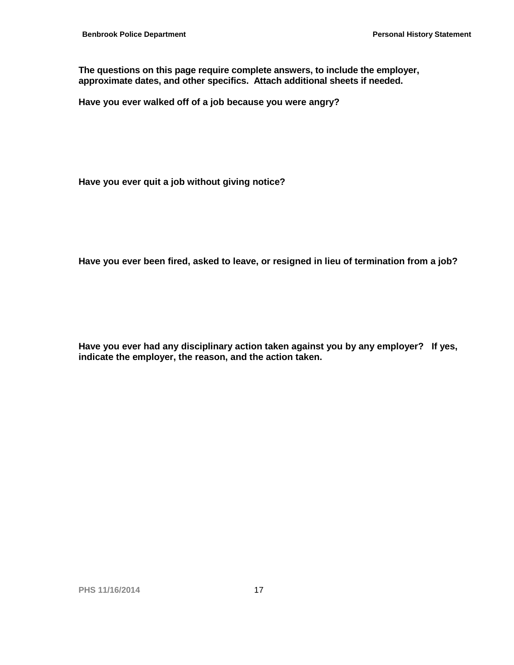**The questions on this page require complete answers, to include the employer, approximate dates, and other specifics. Attach additional sheets if needed.**

**Have you ever walked off of a job because you were angry?** 

**Have you ever quit a job without giving notice?** 

**Have you ever been fired, asked to leave, or resigned in lieu of termination from a job?** 

**Have you ever had any disciplinary action taken against you by any employer? If yes, indicate the employer, the reason, and the action taken.**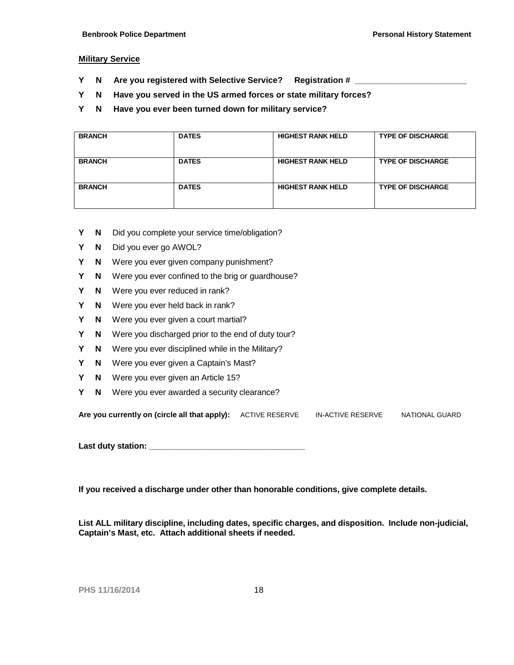#### **Military Service**

- **Y** N Are you registered with Selective Service? Registration #
- **Y N Have you served in the US armed forces or state military forces?**
- **Y N Have you ever been turned down for military service?**

| <b>BRANCH</b> | <b>DATES</b> | <b>HIGHEST RANK HELD</b> | <b>TYPE OF DISCHARGE</b> |
|---------------|--------------|--------------------------|--------------------------|
| <b>BRANCH</b> | <b>DATES</b> | <b>HIGHEST RANK HELD</b> | <b>TYPE OF DISCHARGE</b> |
| <b>BRANCH</b> | <b>DATES</b> | <b>HIGHEST RANK HELD</b> | <b>TYPE OF DISCHARGE</b> |

- **Y N** Did you complete your service time/obligation?
- **Y N** Did you ever go AWOL?
- **Y N** Were you ever given company punishment?
- **Y N** Were you ever confined to the brig or guardhouse?
- **Y N** Were you ever reduced in rank?
- **Y N** Were you ever held back in rank?
- **Y N** Were you ever given a court martial?
- **Y N** Were you discharged prior to the end of duty tour?
- **Y N** Were you ever disciplined while in the Military?
- **Y N** Were you ever given a Captain's Mast?
- **Y N** Were you ever given an Article 15?
- **Y N** Were you ever awarded a security clearance?

| Are you currently on (circle all that apply): ACTIVE RESERVE |  | IN-ACTIVE RESERVE | NATIONAL GUARD |
|--------------------------------------------------------------|--|-------------------|----------------|
|--------------------------------------------------------------|--|-------------------|----------------|

**Last duty station: \_\_\_\_\_\_\_\_\_\_\_\_\_\_\_\_\_\_\_\_\_\_\_\_\_\_\_\_\_\_\_\_\_\_**

**If you received a discharge under other than honorable conditions, give complete details.**

**List ALL military discipline, including dates, specific charges, and disposition. Include non-judicial, Captain's Mast, etc. Attach additional sheets if needed.**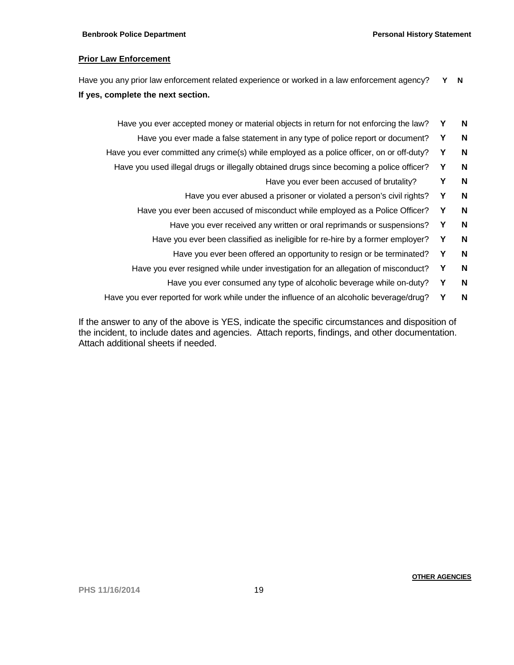#### **Prior Law Enforcement**

Have you any prior law enforcement related experience or worked in a law enforcement agency? **Y N If yes, complete the next section.**

- Have you ever accepted money or material objects in return for not enforcing the law? **Y N**
	- Have you ever made a false statement in any type of police report or document? **Y** N
- Have you ever committed any crime(s) while employed as a police officer, on or off-duty? **Y** N
	- Have you used illegal drugs or illegally obtained drugs since becoming a police officer? **Y N**
		- Have you ever been accused of brutality? **Y** N
		- Have you ever abused a prisoner or violated a person's civil rights? **Y** N
		- Have you ever been accused of misconduct while employed as a Police Officer? **Y N**
			- Have you ever received any written or oral reprimands or suspensions? **Y** N
			- Have you ever been classified as ineligible for re-hire by a former employer? **Y N**
				- Have you ever been offered an opportunity to resign or be terminated? Y N
		- Have you ever resigned while under investigation for an allegation of misconduct? **Y N**
			- Have you ever consumed any type of alcoholic beverage while on-duty? **Y** N
- Have you ever reported for work while under the influence of an alcoholic beverage/drug? **Y N**

If the answer to any of the above is YES, indicate the specific circumstances and disposition of the incident, to include dates and agencies. Attach reports, findings, and other documentation. Attach additional sheets if needed.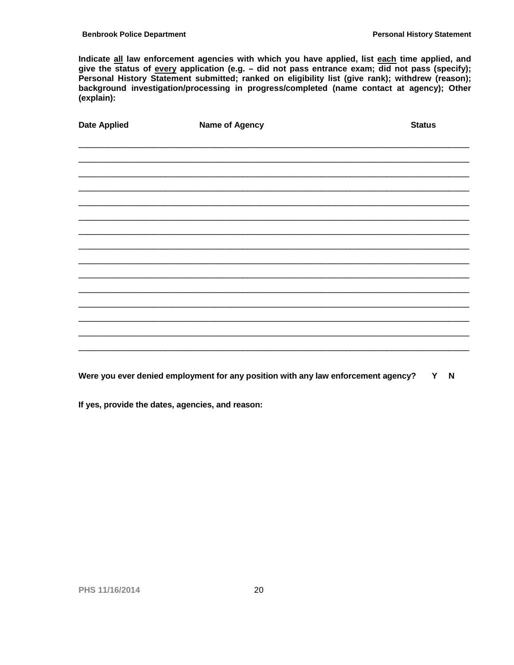Indicate all law enforcement agencies with which you have applied, list each time applied, and give the status of every application (e.g.  $-$  did not pass entrance exam; did not pass (specify); Personal History Statement submitted; ranked on eligibility list (give rank); withdrew (reason); background investigation/processing in progress/completed (name contact at agency); Other (explain):

| <b>Date Applied</b> | <b>Name of Agency</b> | <b>Status</b> |
|---------------------|-----------------------|---------------|
|                     |                       |               |
|                     |                       |               |
|                     |                       |               |
|                     |                       |               |
|                     |                       |               |
|                     |                       |               |
|                     |                       |               |
|                     |                       |               |
|                     |                       |               |
|                     |                       |               |
|                     |                       |               |
|                     |                       |               |
|                     |                       |               |
|                     |                       |               |

Were you ever denied employment for any position with any law enforcement agency? Y N

If yes, provide the dates, agencies, and reason: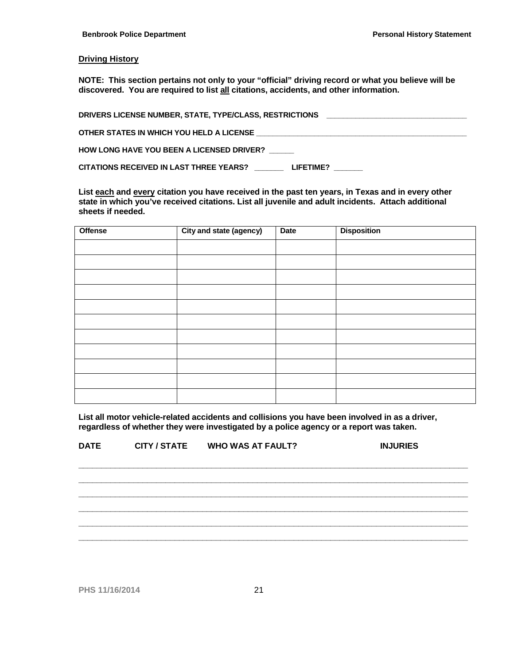#### **Driving History**

**NOTE: This section pertains not only to your "official" driving record or what you believe will be discovered. You are required to list all citations, accidents, and other information.**

| DRIVERS LICENSE NUMBER, STATE, TYPE/CLASS, RESTRICTIONS<br><u> 1989 - Johann Stoff, deutscher Stoff, der Stoff, der Stoff, der Stoff, der Stoff, der Stoff, der Stoff, der S</u> |
|----------------------------------------------------------------------------------------------------------------------------------------------------------------------------------|
| OTHER STATES IN WHICH YOU HELD A LICENSE                                                                                                                                         |
| <b>HOW LONG HAVE YOU BEEN A LICENSED DRIVER?</b>                                                                                                                                 |
| CITATIONS RECEIVED IN LAST THREE YEARS?<br>LIFETIME?                                                                                                                             |

**List each and every citation you have received in the past ten years, in Texas and in every other state in which you've received citations. List all juvenile and adult incidents. Attach additional sheets if needed.**

| <b>Offense</b> | City and state (agency) | <b>Date</b> | <b>Disposition</b> |
|----------------|-------------------------|-------------|--------------------|
|                |                         |             |                    |
|                |                         |             |                    |
|                |                         |             |                    |
|                |                         |             |                    |
|                |                         |             |                    |
|                |                         |             |                    |
|                |                         |             |                    |
|                |                         |             |                    |
|                |                         |             |                    |
|                |                         |             |                    |
|                |                         |             |                    |

**List all motor vehicle-related accidents and collisions you have been involved in as a driver, regardless of whether they were investigated by a police agency or a report was taken.**

| <b>DATE</b> | <b>CITY / STATE</b> | <b>WHO WAS AT FAULT?</b> | <b>INJURIES</b> |
|-------------|---------------------|--------------------------|-----------------|
|             |                     |                          |                 |
|             |                     |                          |                 |
|             |                     |                          |                 |
|             |                     |                          |                 |
|             |                     |                          |                 |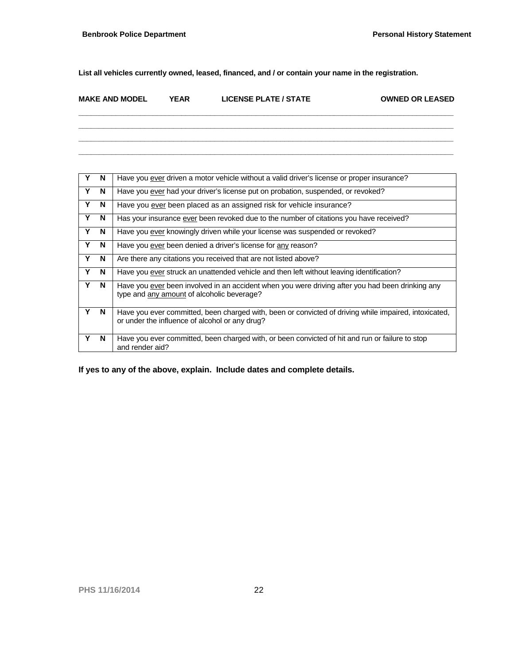**List all vehicles currently owned, leased, financed, and / or contain your name in the registration.**

| <b>MAKE AND MODEL</b> | YEAR | <b>LICENSE PLATE / STATE</b> | <b>OWNED OR LEASED</b> |
|-----------------------|------|------------------------------|------------------------|
|                       |      |                              |                        |

**\_\_\_\_\_\_\_\_\_\_\_\_\_\_\_\_\_\_\_\_\_\_\_\_\_\_\_\_\_\_\_\_\_\_\_\_\_\_\_\_\_\_\_\_\_\_\_\_\_\_\_\_\_\_\_\_\_\_\_\_\_\_\_\_\_\_\_\_\_\_\_\_\_\_\_\_\_\_\_\_\_\_\_\_\_\_\_\_\_\_\_ \_\_\_\_\_\_\_\_\_\_\_\_\_\_\_\_\_\_\_\_\_\_\_\_\_\_\_\_\_\_\_\_\_\_\_\_\_\_\_\_\_\_\_\_\_\_\_\_\_\_\_\_\_\_\_\_\_\_\_\_\_\_\_\_\_\_\_\_\_\_\_\_\_\_\_\_\_\_\_\_\_\_\_\_\_\_\_\_\_\_\_ \_\_\_\_\_\_\_\_\_\_\_\_\_\_\_\_\_\_\_\_\_\_\_\_\_\_\_\_\_\_\_\_\_\_\_\_\_\_\_\_\_\_\_\_\_\_\_\_\_\_\_\_\_\_\_\_\_\_\_\_\_\_\_\_\_\_\_\_\_\_\_\_\_\_\_\_\_\_\_\_\_\_\_\_\_\_\_\_\_\_\_**

| $\mathbf{Y}$ | N | Have you ever driven a motor vehicle without a valid driver's license or proper insurance?                                                              |
|--------------|---|---------------------------------------------------------------------------------------------------------------------------------------------------------|
| Y            | N | Have you ever had your driver's license put on probation, suspended, or revoked?                                                                        |
| Y            | N | Have you ever been placed as an assigned risk for vehicle insurance?                                                                                    |
| Y            | N | Has your insurance ever been revoked due to the number of citations you have received?                                                                  |
| Y            | N | Have you ever knowingly driven while your license was suspended or revoked?                                                                             |
| Y            | N | Have you ever been denied a driver's license for any reason?                                                                                            |
| Y            | N | Are there any citations you received that are not listed above?                                                                                         |
| Y            | N | Have you ever struck an unattended vehicle and then left without leaving identification?                                                                |
| Y            | N | Have you ever been involved in an accident when you were driving after you had been drinking any<br>type and any amount of alcoholic beverage?          |
| Υ            | N | Have you ever committed, been charged with, been or convicted of driving while impaired, intoxicated,<br>or under the influence of alcohol or any drug? |
| Y            | N | Have you ever committed, been charged with, or been convicted of hit and run or failure to stop<br>and render aid?                                      |

**If yes to any of the above, explain. Include dates and complete details.**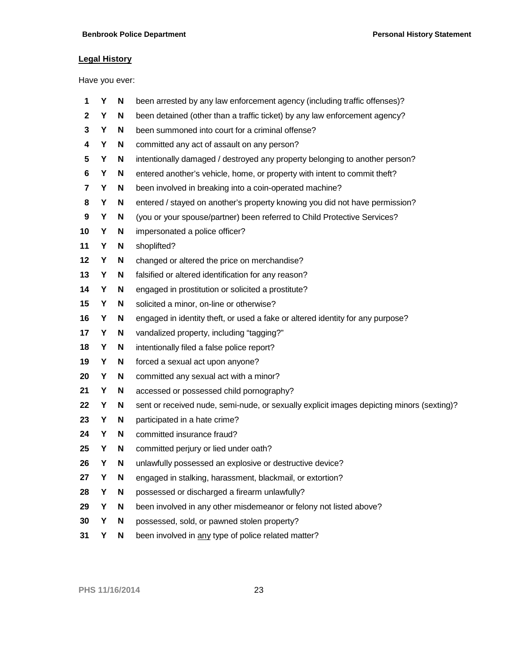## **Legal History**

Have you ever:

| 1              | Υ | N | been arrested by any law enforcement agency (including traffic offenses)?                 |
|----------------|---|---|-------------------------------------------------------------------------------------------|
| $\mathbf{2}$   | Y | N | been detained (other than a traffic ticket) by any law enforcement agency?                |
| 3              | Y | N | been summoned into court for a criminal offense?                                          |
| 4              | Y | N | committed any act of assault on any person?                                               |
| 5              | Y | N | intentionally damaged / destroyed any property belonging to another person?               |
| 6              | Y | N | entered another's vehicle, home, or property with intent to commit theft?                 |
| $\overline{7}$ | Υ | N | been involved in breaking into a coin-operated machine?                                   |
| 8              | Y | N | entered / stayed on another's property knowing you did not have permission?               |
| 9              | Y | N | (you or your spouse/partner) been referred to Child Protective Services?                  |
| 10             | Y | N | impersonated a police officer?                                                            |
| 11             | Y | N | shoplifted?                                                                               |
| 12             | Y | N | changed or altered the price on merchandise?                                              |
| 13             | Υ | N | falsified or altered identification for any reason?                                       |
| 14             | Y | N | engaged in prostitution or solicited a prostitute?                                        |
| 15             | Υ | N | solicited a minor, on-line or otherwise?                                                  |
| 16             | Υ | N | engaged in identity theft, or used a fake or altered identity for any purpose?            |
| 17             | Y | N | vandalized property, including "tagging?"                                                 |
| 18             | Y | N | intentionally filed a false police report?                                                |
| 19             | Y | N | forced a sexual act upon anyone?                                                          |
| 20             | Y | N | committed any sexual act with a minor?                                                    |
| 21             | Y | N | accessed or possessed child pornography?                                                  |
| 22             | Υ | N | sent or received nude, semi-nude, or sexually explicit images depicting minors (sexting)? |
| 23             | Y | N | participated in a hate crime?                                                             |
| 24             | Y | N | committed insurance fraud?                                                                |
| 25             | Y | N | committed perjury or lied under oath?                                                     |
| 26             | Υ | N | unlawfully possessed an explosive or destructive device?                                  |
| 27             | Y | N | engaged in stalking, harassment, blackmail, or extortion?                                 |
| 28             | Υ | N | possessed or discharged a firearm unlawfully?                                             |
| 29             | Υ | N | been involved in any other misdemeanor or felony not listed above?                        |
| 30             | Y | N | possessed, sold, or pawned stolen property?                                               |
| 31             | Υ | N | been involved in any type of police related matter?                                       |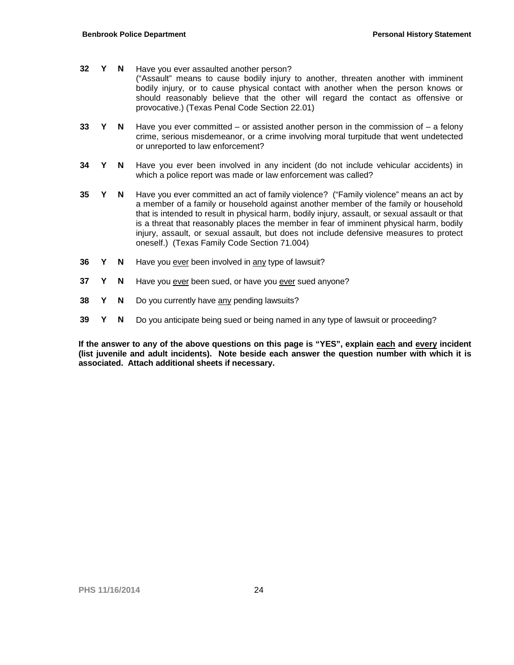- **32 Y N** Have you ever assaulted another person? ("Assault" means to cause bodily injury to another, threaten another with imminent bodily injury, or to cause physical contact with another when the person knows or should reasonably believe that the other will regard the contact as offensive or provocative.) (Texas Penal Code Section 22.01)
- **33 Y N** Have you ever committed or assisted another person in the commission of a felony crime, serious misdemeanor, or a crime involving moral turpitude that went undetected or unreported to law enforcement?
- **34 Y N** Have you ever been involved in any incident (do not include vehicular accidents) in which a police report was made or law enforcement was called?
- **35 Y N** Have you ever committed an act of family violence? ("Family violence" means an act by a member of a family or household against another member of the family or household that is intended to result in physical harm, bodily injury, assault, or sexual assault or that is a threat that reasonably places the member in fear of imminent physical harm, bodily injury, assault, or sexual assault, but does not include defensive measures to protect oneself.) (Texas Family Code Section 71.004)
- **36 Y N** Have you ever been involved in any type of lawsuit?
- **37 Y N** Have you ever been sued, or have you ever sued anyone?
- **38 Y N** Do you currently have any pending lawsuits?
- **39 Y N** Do you anticipate being sued or being named in any type of lawsuit or proceeding?

**If the answer to any of the above questions on this page is "YES", explain each and every incident (list juvenile and adult incidents). Note beside each answer the question number with which it is associated. Attach additional sheets if necessary.**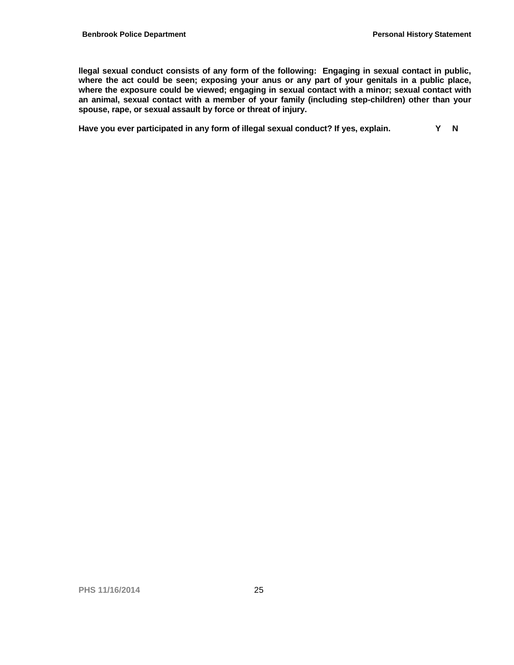**llegal sexual conduct consists of any form of the following: Engaging in sexual contact in public, where the act could be seen; exposing your anus or any part of your genitals in a public place, where the exposure could be viewed; engaging in sexual contact with a minor; sexual contact with an animal, sexual contact with a member of your family (including step-children) other than your spouse, rape, or sexual assault by force or threat of injury.**

Have you ever participated in any form of illegal sexual conduct? If yes, explain. Y N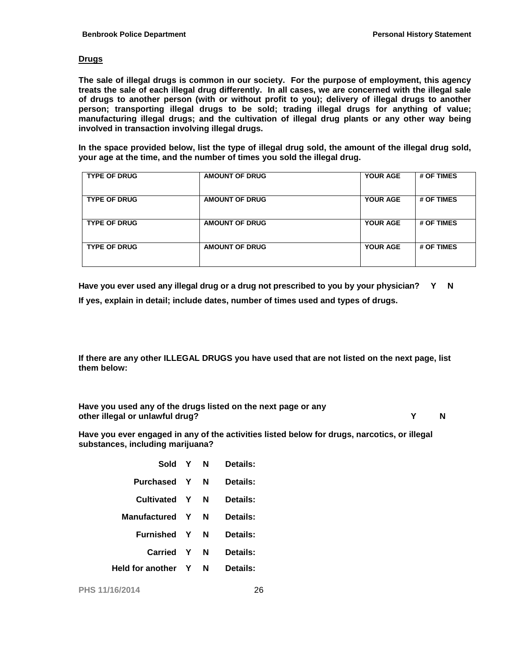#### **Drugs**

**The sale of illegal drugs is common in our society. For the purpose of employment, this agency treats the sale of each illegal drug differently. In all cases, we are concerned with the illegal sale of drugs to another person (with or without profit to you); delivery of illegal drugs to another person; transporting illegal drugs to be sold; trading illegal drugs for anything of value; manufacturing illegal drugs; and the cultivation of illegal drug plants or any other way being involved in transaction involving illegal drugs.**

**In the space provided below, list the type of illegal drug sold, the amount of the illegal drug sold, your age at the time, and the number of times you sold the illegal drug.**

| <b>TYPE OF DRUG</b> | <b>AMOUNT OF DRUG</b> | <b>YOUR AGE</b> | # OF TIMES |
|---------------------|-----------------------|-----------------|------------|
| <b>TYPE OF DRUG</b> | <b>AMOUNT OF DRUG</b> | <b>YOUR AGE</b> | # OF TIMES |
| <b>TYPE OF DRUG</b> | <b>AMOUNT OF DRUG</b> | <b>YOUR AGE</b> | # OF TIMES |
| <b>TYPE OF DRUG</b> | <b>AMOUNT OF DRUG</b> | <b>YOUR AGE</b> | # OF TIMES |

**Have you ever used any illegal drug or a drug not prescribed to you by your physician? Y N If yes, explain in detail; include dates, number of times used and types of drugs.**

**If there are any other ILLEGAL DRUGS you have used that are not listed on the next page, list them below:**

**Have you used any of the drugs listed on the next page or any other illegal or unlawful drug? Y N**

**Have you ever engaged in any of the activities listed below for drugs, narcotics, or illegal substances, including marijuana?**

| Sold                    | $\mathbf{Y}$ | N | Details: |
|-------------------------|--------------|---|----------|
| Purchased               | Y            | N | Details: |
| Cultivated              | Y            | N | Details: |
| <b>Manufactured</b>     | Y            | N | Details: |
| Furnished               | Y            | N | Details: |
| Carried                 | Y            | N | Details: |
| <b>Held for another</b> | Y            | N | Details: |
|                         |              |   |          |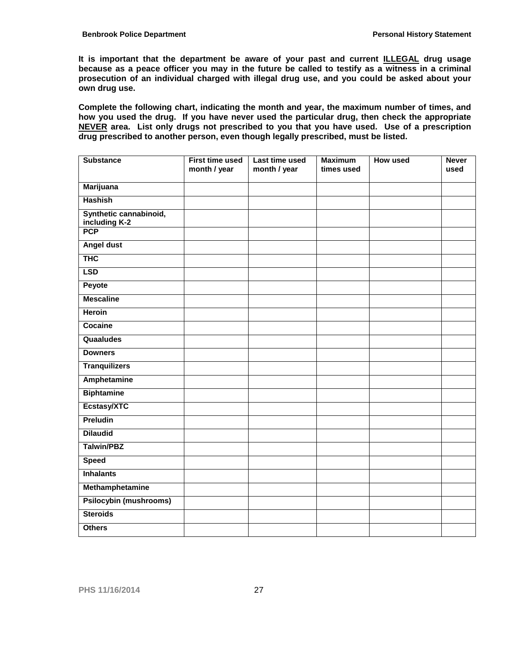**It is important that the department be aware of your past and current ILLEGAL drug usage because as a peace officer you may in the future be called to testify as a witness in a criminal prosecution of an individual charged with illegal drug use, and you could be asked about your own drug use.**

**Complete the following chart, indicating the month and year, the maximum number of times, and how you used the drug. If you have never used the particular drug, then check the appropriate NEVER area. List only drugs not prescribed to you that you have used. Use of a prescription drug prescribed to another person, even though legally prescribed, must be listed.**

| <b>Substance</b>                                      | <b>First time used</b><br>month / year | Last time used<br>month / year | <b>Maximum</b><br>times used | <b>How used</b> | <b>Never</b><br>used |
|-------------------------------------------------------|----------------------------------------|--------------------------------|------------------------------|-----------------|----------------------|
| <b>Marijuana</b>                                      |                                        |                                |                              |                 |                      |
| <b>Hashish</b>                                        |                                        |                                |                              |                 |                      |
| Synthetic cannabinoid,<br>including K-2<br><b>PCP</b> |                                        |                                |                              |                 |                      |
|                                                       |                                        |                                |                              |                 |                      |
| <b>Angel dust</b>                                     |                                        |                                |                              |                 |                      |
| <b>THC</b>                                            |                                        |                                |                              |                 |                      |
| <b>LSD</b>                                            |                                        |                                |                              |                 |                      |
| Peyote                                                |                                        |                                |                              |                 |                      |
| <b>Mescaline</b>                                      |                                        |                                |                              |                 |                      |
| <b>Heroin</b>                                         |                                        |                                |                              |                 |                      |
| Cocaine                                               |                                        |                                |                              |                 |                      |
| Quaaludes                                             |                                        |                                |                              |                 |                      |
| <b>Downers</b>                                        |                                        |                                |                              |                 |                      |
| <b>Tranquilizers</b>                                  |                                        |                                |                              |                 |                      |
| <b>Amphetamine</b>                                    |                                        |                                |                              |                 |                      |
| <b>Biphtamine</b>                                     |                                        |                                |                              |                 |                      |
| Ecstasy/XTC                                           |                                        |                                |                              |                 |                      |
| Preludin                                              |                                        |                                |                              |                 |                      |
| <b>Dilaudid</b>                                       |                                        |                                |                              |                 |                      |
| <b>Talwin/PBZ</b>                                     |                                        |                                |                              |                 |                      |
| <b>Speed</b>                                          |                                        |                                |                              |                 |                      |
| <b>Inhalants</b>                                      |                                        |                                |                              |                 |                      |
| Methamphetamine                                       |                                        |                                |                              |                 |                      |
| <b>Psilocybin (mushrooms)</b>                         |                                        |                                |                              |                 |                      |
| <b>Steroids</b>                                       |                                        |                                |                              |                 |                      |
| <b>Others</b>                                         |                                        |                                |                              |                 |                      |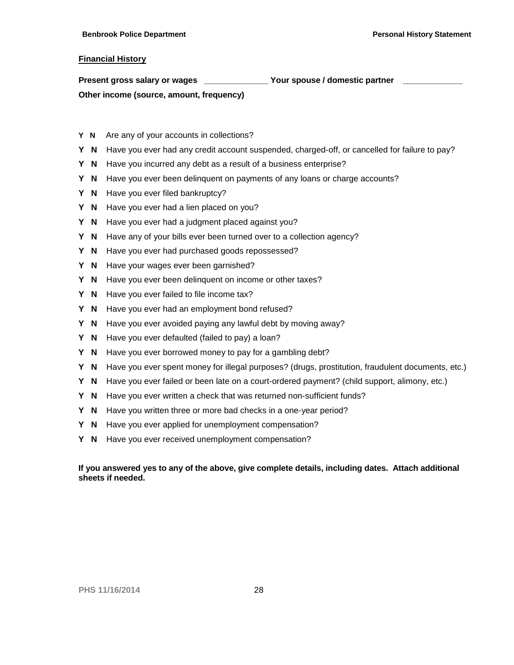#### **Financial History**

| Present gross salary or wages            | Your spouse / domestic partner |  |
|------------------------------------------|--------------------------------|--|
| Other income (source, amount, frequency) |                                |  |

- **Y N** Are any of your accounts in collections?
- **Y N** Have you ever had any credit account suspended, charged-off, or cancelled for failure to pay?
- **Y N** Have you incurred any debt as a result of a business enterprise?
- **Y N** Have you ever been delinquent on payments of any loans or charge accounts?
- Y **N** Have you ever filed bankruptcy?
- **Y N** Have you ever had a lien placed on you?
- **Y N** Have you ever had a judgment placed against you?
- **Y N** Have any of your bills ever been turned over to a collection agency?
- **Y N** Have you ever had purchased goods repossessed?
- **Y N** Have your wages ever been garnished?
- **Y N** Have you ever been delinquent on income or other taxes?
- **Y N** Have you ever failed to file income tax?
- **Y N** Have you ever had an employment bond refused?
- **Y N** Have you ever avoided paying any lawful debt by moving away?
- **Y N** Have you ever defaulted (failed to pay) a loan?
- **Y N** Have you ever borrowed money to pay for a gambling debt?
- **Y N** Have you ever spent money for illegal purposes? (drugs, prostitution, fraudulent documents, etc.)
- **Y N** Have you ever failed or been late on a court-ordered payment? (child support, alimony, etc.)
- **Y N** Have you ever written a check that was returned non-sufficient funds?
- **Y N** Have you written three or more bad checks in a one-year period?
- **Y N** Have you ever applied for unemployment compensation?
- **Y N** Have you ever received unemployment compensation?

#### **If you answered yes to any of the above, give complete details, including dates. Attach additional sheets if needed.**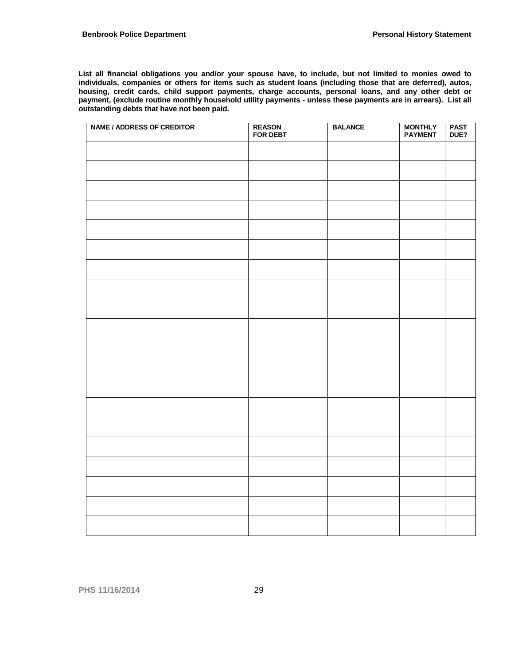**List all financial obligations you and/or your spouse have, to include, but not limited to monies owed to individuals, companies or others for items such as student loans (including those that are deferred), autos, housing, credit cards, child support payments, charge accounts, personal loans, and any other debt or payment, (exclude routine monthly household utility payments - unless these payments are in arrears). List all outstanding debts that have not been paid.**

| <b>NAME / ADDRESS OF CREDITOR</b> | <b>REASON</b><br><b>FOR DEBT</b> | <b>BALANCE</b> | <b>MONTHLY</b><br><b>PAYMENT</b> | <b>PAST</b><br>DUE? |
|-----------------------------------|----------------------------------|----------------|----------------------------------|---------------------|
|                                   |                                  |                |                                  |                     |
|                                   |                                  |                |                                  |                     |
|                                   |                                  |                |                                  |                     |
|                                   |                                  |                |                                  |                     |
|                                   |                                  |                |                                  |                     |
|                                   |                                  |                |                                  |                     |
|                                   |                                  |                |                                  |                     |
|                                   |                                  |                |                                  |                     |
|                                   |                                  |                |                                  |                     |
|                                   |                                  |                |                                  |                     |
|                                   |                                  |                |                                  |                     |
|                                   |                                  |                |                                  |                     |
|                                   |                                  |                |                                  |                     |
|                                   |                                  |                |                                  |                     |
|                                   |                                  |                |                                  |                     |
|                                   |                                  |                |                                  |                     |
|                                   |                                  |                |                                  |                     |
|                                   |                                  |                |                                  |                     |
|                                   |                                  |                |                                  |                     |
|                                   |                                  |                |                                  |                     |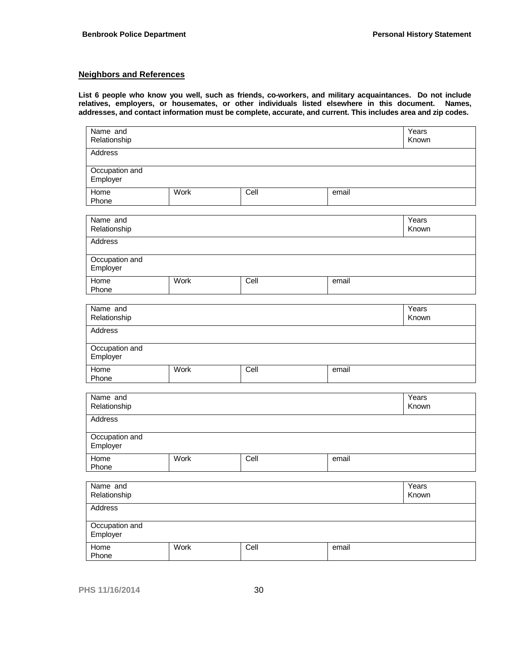#### **Neighbors and References**

**List 6 people who know you well, such as friends, co-workers, and military acquaintances. Do not include relatives, employers, or housemates, or other individuals listed elsewhere in this document. Names, addresses, and contact information must be complete, accurate, and current. This includes area and zip codes.**

| Name and<br>Relationship   |      |      |       | Years<br>Known |  |  |  |
|----------------------------|------|------|-------|----------------|--|--|--|
| Address                    |      |      |       |                |  |  |  |
| Occupation and<br>Employer |      |      |       |                |  |  |  |
| Home<br>Phone              | Work | Cell | email |                |  |  |  |
| Name and<br>Relationship   |      |      |       | Years<br>Known |  |  |  |
| <b>Address</b>             |      |      |       |                |  |  |  |
| Occupation and<br>Employer |      |      |       |                |  |  |  |
| Home<br>Phone              | Work | Cell | email |                |  |  |  |
| Name and<br>Relationship   |      |      |       | Years<br>Known |  |  |  |
| <b>Address</b>             |      |      |       |                |  |  |  |
| Occupation and<br>Employer |      |      |       |                |  |  |  |
| Home<br>Phone              | Work | Cell | email |                |  |  |  |
| Name and<br>Relationship   |      |      |       | Years<br>Known |  |  |  |
| Address                    |      |      |       |                |  |  |  |
| Occupation and<br>Employer |      |      |       |                |  |  |  |
| Home<br>Phone              | Work | Cell | email |                |  |  |  |
| Name and<br>Relationship   |      |      |       | Years<br>Known |  |  |  |
| <b>Address</b>             |      |      |       |                |  |  |  |
| Occupation and<br>Employer |      |      |       |                |  |  |  |
| Home<br>Phone              | Work | Cell | email |                |  |  |  |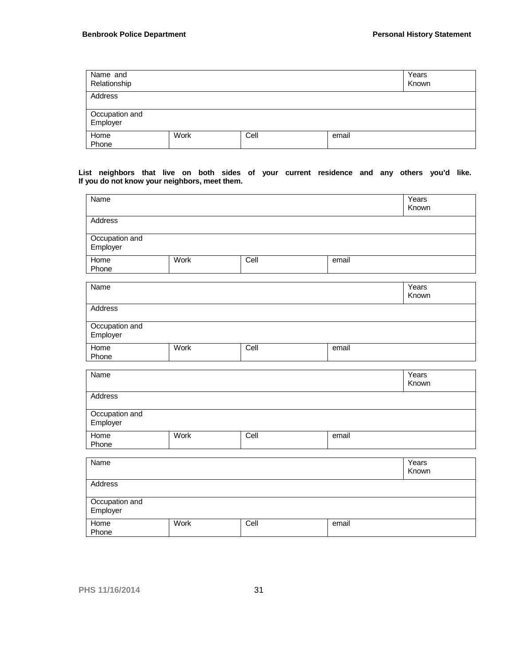| Name and<br>Relationship   |      |      |       | Years<br>Known |
|----------------------------|------|------|-------|----------------|
| Address                    |      |      |       |                |
| Occupation and<br>Employer |      |      |       |                |
| Home<br>Phone              | Work | Cell | email |                |

#### **List neighbors that live on both sides of your current residence and any others you'd like. If you do not know your neighbors, meet them.**

| Name                       |      |      |       | Years<br>Known |
|----------------------------|------|------|-------|----------------|
| Address                    |      |      |       |                |
| Occupation and<br>Employer |      |      |       |                |
| Home<br>Phone              | Work | Cell | email |                |
| Name                       |      |      |       | Years<br>Known |
| Address                    |      |      |       |                |
| Occupation and<br>Employer |      |      |       |                |
| Home<br>Phone              | Work | Cell | email |                |
| Name                       |      |      |       | Years<br>Known |
| Address                    |      |      |       |                |
| Occupation and<br>Employer |      |      |       |                |
| Home<br>Phone              | Work | Cell | email |                |
| Name                       |      |      |       | Years<br>Known |
| Address                    |      |      |       |                |
| Occupation and<br>Employer |      |      |       |                |
| Home<br>Phone              | Work | Cell | email |                |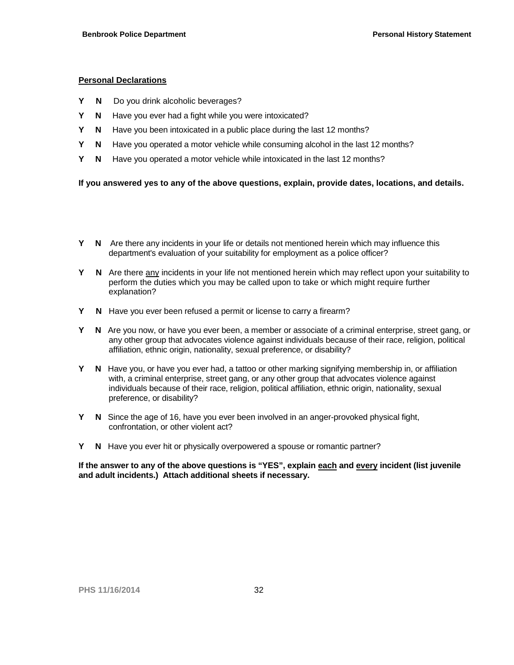#### **Personal Declarations**

- **Y N** Do you drink alcoholic beverages?
- **Y N** Have you ever had a fight while you were intoxicated?
- **Y N** Have you been intoxicated in a public place during the last 12 months?
- **Y N** Have you operated a motor vehicle while consuming alcohol in the last 12 months?
- **Y N** Have you operated a motor vehicle while intoxicated in the last 12 months?

**If you answered yes to any of the above questions, explain, provide dates, locations, and details.**

- **Y N** Are there any incidents in your life or details not mentioned herein which may influence this department's evaluation of your suitability for employment as a police officer?
- **Y N** Are there any incidents in your life not mentioned herein which may reflect upon your suitability to perform the duties which you may be called upon to take or which might require further explanation?
- **Y N** Have you ever been refused a permit or license to carry a firearm?
- **Y N** Are you now, or have you ever been, a member or associate of a criminal enterprise, street gang, or any other group that advocates violence against individuals because of their race, religion, political affiliation, ethnic origin, nationality, sexual preference, or disability?
- **Y N** Have you, or have you ever had, a tattoo or other marking signifying membership in, or affiliation with, a criminal enterprise, street gang, or any other group that advocates violence against individuals because of their race, religion, political affiliation, ethnic origin, nationality, sexual preference, or disability?
- **Y N** Since the age of 16, have you ever been involved in an anger-provoked physical fight, confrontation, or other violent act?
- **Y N** Have you ever hit or physically overpowered a spouse or romantic partner?

**If the answer to any of the above questions is "YES", explain each and every incident (list juvenile and adult incidents.) Attach additional sheets if necessary.**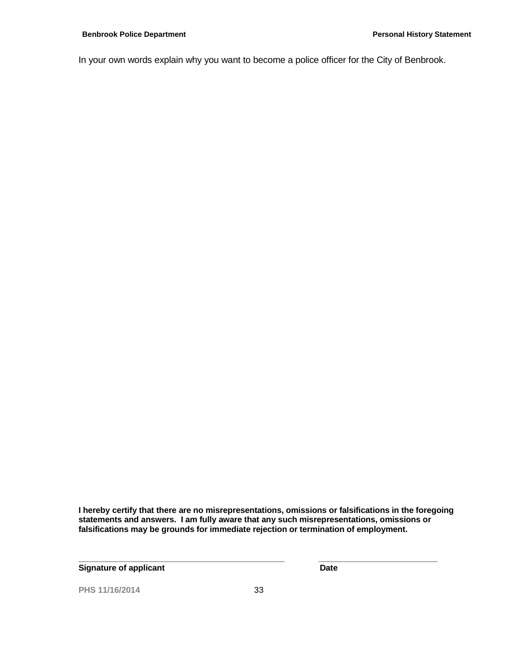In your own words explain why you want to become a police officer for the City of Benbrook.

**I hereby certify that there are no misrepresentations, omissions or falsifications in the foregoing statements and answers. I am fully aware that any such misrepresentations, omissions or falsifications may be grounds for immediate rejection or termination of employment.**

**Signature of applicant Community Community Community Community Community Community Community Community Community** 

**PHS 11/16/2014** 33

**\_\_\_\_\_\_\_\_\_\_\_\_\_\_\_\_\_\_\_\_\_\_\_\_\_\_\_\_\_\_\_\_\_\_\_\_\_\_\_\_\_\_\_\_\_ \_\_\_\_\_\_\_\_\_\_\_\_\_\_\_\_\_\_\_\_\_\_\_\_\_\_**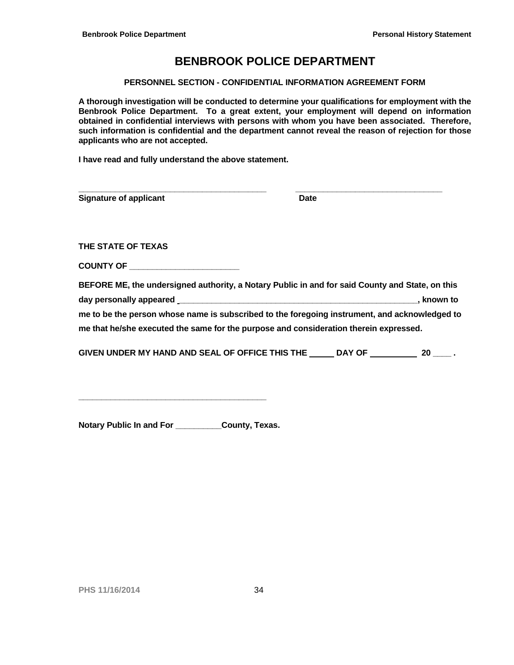#### **PERSONNEL SECTION - CONFIDENTIAL INFORMATION AGREEMENT FORM**

**A thorough investigation will be conducted to determine your qualifications for employment with the Benbrook Police Department. To a great extent, your employment will depend on information obtained in confidential interviews with persons with whom you have been associated. Therefore, such information is confidential and the department cannot reveal the reason of rejection for those applicants who are not accepted.** 

**I have read and fully understand the above statement.**

| <b>Signature of applicant</b> | <b>Date</b> |  |
|-------------------------------|-------------|--|
|                               |             |  |
| THE STATE OF TEXAS            |             |  |

**COUNTY OF \_\_\_\_\_\_\_\_\_\_\_\_\_\_\_\_\_\_\_\_\_\_\_\_**

| BEFORE ME, the undersigned authority, a Notary Public in and for said County and State, on this |            |  |
|-------------------------------------------------------------------------------------------------|------------|--|
| day personally appeared                                                                         | . known to |  |
| me to be the person whose name is subscribed to the foregoing instrument, and acknowledged to   |            |  |
| me that he/she executed the same for the purpose and consideration therein expressed.           |            |  |

| GIVEN UNDER MY HAND AND SEAL OF OFFICE THIS THE | <b>DAY OF</b> |  |  |
|-------------------------------------------------|---------------|--|--|
|-------------------------------------------------|---------------|--|--|

**Notary Public In and For \_\_\_\_\_\_\_\_\_\_County, Texas.**

**\_\_\_\_\_\_\_\_\_\_\_\_\_\_\_\_\_\_\_\_\_\_\_\_\_\_\_\_\_\_\_\_\_\_\_\_\_\_\_\_\_**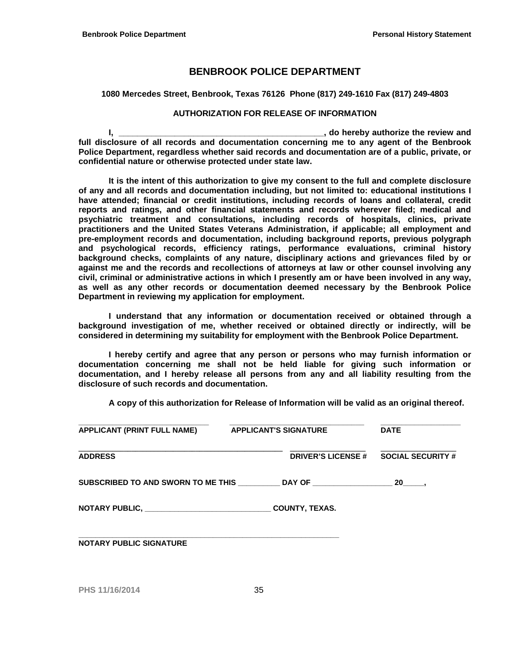#### **1080 Mercedes Street, Benbrook, Texas 76126 Phone (817) 249-1610 Fax (817) 249-4803**

#### **AUTHORIZATION FOR RELEASE OF INFORMATION**

**I, I**, *l* **<b>I**, *l* **<b>I**, *l l l l l l l l l l l l l l l l l l l l l l l l l l l l l l l l* **full disclosure of all records and documentation concerning me to any agent of the Benbrook Police Department, regardless whether said records and documentation are of a public, private, or confidential nature or otherwise protected under state law.**

**It is the intent of this authorization to give my consent to the full and complete disclosure of any and all records and documentation including, but not limited to: educational institutions I have attended; financial or credit institutions, including records of loans and collateral, credit reports and ratings, and other financial statements and records wherever filed; medical and psychiatric treatment and consultations, including records of hospitals, clinics, private practitioners and the United States Veterans Administration, if applicable; all employment and pre-employment records and documentation, including background reports, previous polygraph and psychological records, efficiency ratings, performance evaluations, criminal history background checks, complaints of any nature, disciplinary actions and grievances filed by or against me and the records and recollections of attorneys at law or other counsel involving any civil, criminal or administrative actions in which I presently am or have been involved in any way, as well as any other records or documentation deemed necessary by the Benbrook Police Department in reviewing my application for employment.**

**I understand that any information or documentation received or obtained through a background investigation of me, whether received or obtained directly or indirectly, will be considered in determining my suitability for employment with the Benbrook Police Department.**

**I hereby certify and agree that any person or persons who may furnish information or documentation concerning me shall not be held liable for giving such information or documentation, and I hereby release all persons from any and all liability resulting from the disclosure of such records and documentation.**

**A copy of this authorization for Release of Information will be valid as an original thereof.**

| <b>APPLICANT (PRINT FULL NAME)</b> | <b>APPLICANT'S SIGNATURE</b>                                           | <b>DATE</b>              |
|------------------------------------|------------------------------------------------------------------------|--------------------------|
| <b>ADDRESS</b>                     | <b>DRIVER'S LICENSE #</b>                                              | <b>SOCIAL SECURITY #</b> |
|                                    | SUBSCRIBED TO AND SWORN TO ME THIS __________ DAY OF _________________ | $20$ ,                   |
|                                    | <b>COUNTY, TEXAS.</b>                                                  |                          |
| <b>NOTARY PUBLIC SIGNATURE</b>     |                                                                        |                          |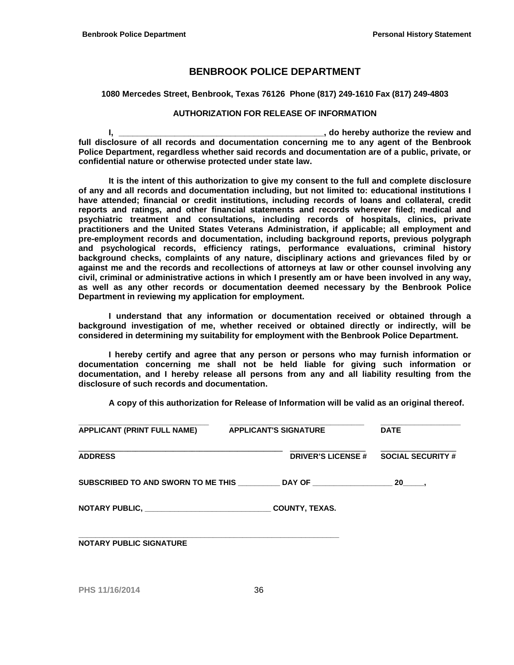#### **1080 Mercedes Street, Benbrook, Texas 76126 Phone (817) 249-1610 Fax (817) 249-4803**

#### **AUTHORIZATION FOR RELEASE OF INFORMATION**

**I, I**, *l* **<b>I**, *l* **<b>I**, *l l l l l l l l l l l l l l l l l l l l l l l l l l l l l l l l* **full disclosure of all records and documentation concerning me to any agent of the Benbrook Police Department, regardless whether said records and documentation are of a public, private, or confidential nature or otherwise protected under state law.**

**It is the intent of this authorization to give my consent to the full and complete disclosure of any and all records and documentation including, but not limited to: educational institutions I have attended; financial or credit institutions, including records of loans and collateral, credit reports and ratings, and other financial statements and records wherever filed; medical and psychiatric treatment and consultations, including records of hospitals, clinics, private practitioners and the United States Veterans Administration, if applicable; all employment and pre-employment records and documentation, including background reports, previous polygraph and psychological records, efficiency ratings, performance evaluations, criminal history background checks, complaints of any nature, disciplinary actions and grievances filed by or against me and the records and recollections of attorneys at law or other counsel involving any civil, criminal or administrative actions in which I presently am or have been involved in any way, as well as any other records or documentation deemed necessary by the Benbrook Police Department in reviewing my application for employment.**

**I understand that any information or documentation received or obtained through a background investigation of me, whether received or obtained directly or indirectly, will be considered in determining my suitability for employment with the Benbrook Police Department.**

**I hereby certify and agree that any person or persons who may furnish information or documentation concerning me shall not be held liable for giving such information or documentation, and I hereby release all persons from any and all liability resulting from the disclosure of such records and documentation.**

**A copy of this authorization for Release of Information will be valid as an original thereof.**

| <b>APPLICANT (PRINT FULL NAME)</b> | <b>APPLICANT'S SIGNATURE</b>                                                       | <b>DATE</b>              |
|------------------------------------|------------------------------------------------------------------------------------|--------------------------|
| <b>ADDRESS</b>                     | <b>DRIVER'S LICENSE #</b>                                                          | <b>SOCIAL SECURITY #</b> |
|                                    | SUBSCRIBED TO AND SWORN TO ME THIS __________DAY OF ______________________________ |                          |
|                                    | <b>COUNTY, TEXAS.</b>                                                              |                          |
| <b>NOTARY PUBLIC SIGNATURE</b>     |                                                                                    |                          |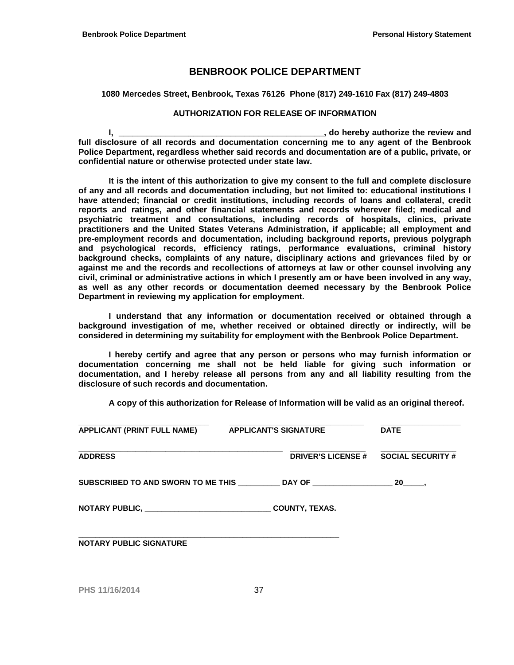#### **1080 Mercedes Street, Benbrook, Texas 76126 Phone (817) 249-1610 Fax (817) 249-4803**

#### **AUTHORIZATION FOR RELEASE OF INFORMATION**

**I, \_\_\_\_\_\_\_\_\_\_\_\_\_\_\_\_\_\_\_\_\_\_\_\_\_\_\_\_\_\_\_\_\_\_\_\_\_\_\_\_\_\_\_\_, do hereby authorize the review and full disclosure of all records and documentation concerning me to any agent of the Benbrook Police Department, regardless whether said records and documentation are of a public, private, or confidential nature or otherwise protected under state law.**

**It is the intent of this authorization to give my consent to the full and complete disclosure of any and all records and documentation including, but not limited to: educational institutions I have attended; financial or credit institutions, including records of loans and collateral, credit reports and ratings, and other financial statements and records wherever filed; medical and psychiatric treatment and consultations, including records of hospitals, clinics, private practitioners and the United States Veterans Administration, if applicable; all employment and pre-employment records and documentation, including background reports, previous polygraph and psychological records, efficiency ratings, performance evaluations, criminal history background checks, complaints of any nature, disciplinary actions and grievances filed by or against me and the records and recollections of attorneys at law or other counsel involving any civil, criminal or administrative actions in which I presently am or have been involved in any way, as well as any other records or documentation deemed necessary by the Benbrook Police Department in reviewing my application for employment.**

**I understand that any information or documentation received or obtained through a background investigation of me, whether received or obtained directly or indirectly, will be considered in determining my suitability for employment with the Benbrook Police Department.**

**I hereby certify and agree that any person or persons who may furnish information or documentation concerning me shall not be held liable for giving such information or documentation, and I hereby release all persons from any and all liability resulting from the disclosure of such records and documentation.**

**A copy of this authorization for Release of Information will be valid as an original thereof.**

| <b>APPLICANT (PRINT FULL NAME)</b> | <b>APPLICANT'S SIGNATURE</b> | <b>DATE</b>              |
|------------------------------------|------------------------------|--------------------------|
| <b>ADDRESS</b>                     | <b>DRIVER'S LICENSE #</b>    | <b>SOCIAL SECURITY #</b> |
|                                    |                              | $20$ ,                   |
|                                    | <b>COUNTY, TEXAS.</b>        |                          |
| <b>NOTARY PUBLIC SIGNATURE</b>     |                              |                          |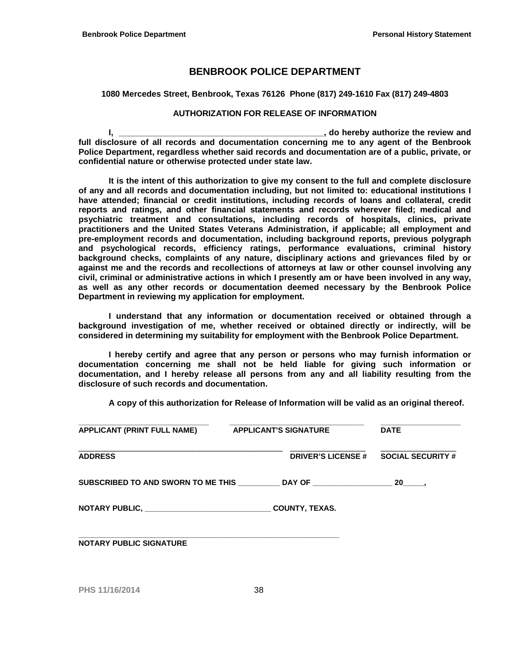#### **1080 Mercedes Street, Benbrook, Texas 76126 Phone (817) 249-1610 Fax (817) 249-4803**

#### **AUTHORIZATION FOR RELEASE OF INFORMATION**

**I, I**, *l* **<b>I**, *l* **<b>I**, *l l l l l l l l l l l l l l l l l l l l l l l l l l l l l l l l* **full disclosure of all records and documentation concerning me to any agent of the Benbrook Police Department, regardless whether said records and documentation are of a public, private, or confidential nature or otherwise protected under state law.**

**It is the intent of this authorization to give my consent to the full and complete disclosure of any and all records and documentation including, but not limited to: educational institutions I have attended; financial or credit institutions, including records of loans and collateral, credit reports and ratings, and other financial statements and records wherever filed; medical and psychiatric treatment and consultations, including records of hospitals, clinics, private practitioners and the United States Veterans Administration, if applicable; all employment and pre-employment records and documentation, including background reports, previous polygraph and psychological records, efficiency ratings, performance evaluations, criminal history background checks, complaints of any nature, disciplinary actions and grievances filed by or against me and the records and recollections of attorneys at law or other counsel involving any civil, criminal or administrative actions in which I presently am or have been involved in any way, as well as any other records or documentation deemed necessary by the Benbrook Police Department in reviewing my application for employment.**

**I understand that any information or documentation received or obtained through a background investigation of me, whether received or obtained directly or indirectly, will be considered in determining my suitability for employment with the Benbrook Police Department.**

**I hereby certify and agree that any person or persons who may furnish information or documentation concerning me shall not be held liable for giving such information or documentation, and I hereby release all persons from any and all liability resulting from the disclosure of such records and documentation.**

**A copy of this authorization for Release of Information will be valid as an original thereof.**

| <b>APPLICANT (PRINT FULL NAME)</b> | <b>APPLICANT'S SIGNATURE</b>                                                     | <b>DATE</b>              |
|------------------------------------|----------------------------------------------------------------------------------|--------------------------|
| <b>ADDRESS</b>                     | <b>DRIVER'S LICENSE #</b>                                                        | <b>SOCIAL SECURITY #</b> |
|                                    | SUBSCRIBED TO AND SWORN TO ME THIS _________ DAY OF ____________________________ | $20$ .                   |
|                                    | <b>COUNTY, TEXAS.</b>                                                            |                          |
| <b>NOTARY PUBLIC SIGNATURE</b>     |                                                                                  |                          |